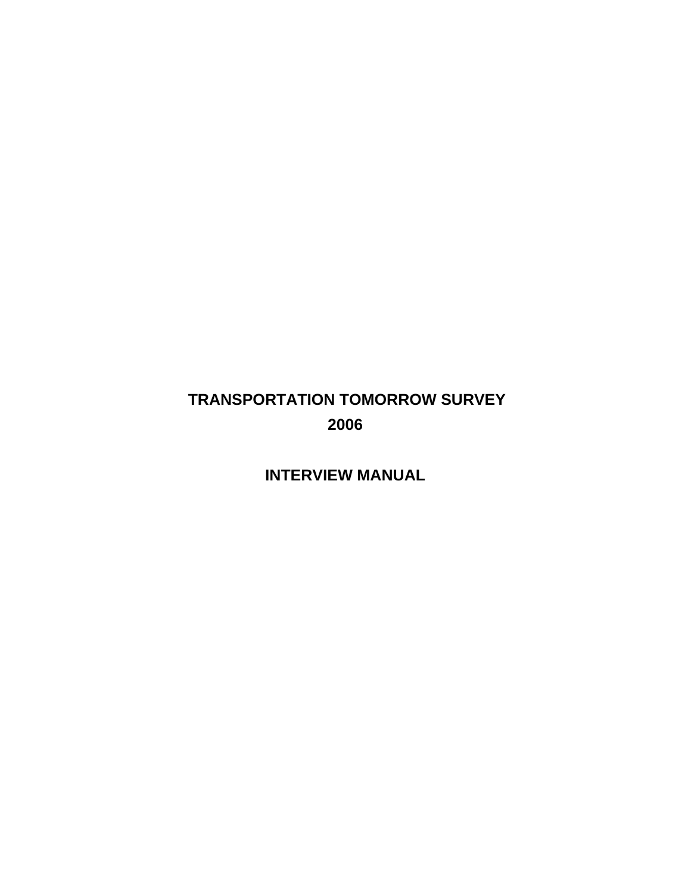# **TRANSPORTATION TOMORROW SURVEY 2006**

## **INTERVIEW MANUAL**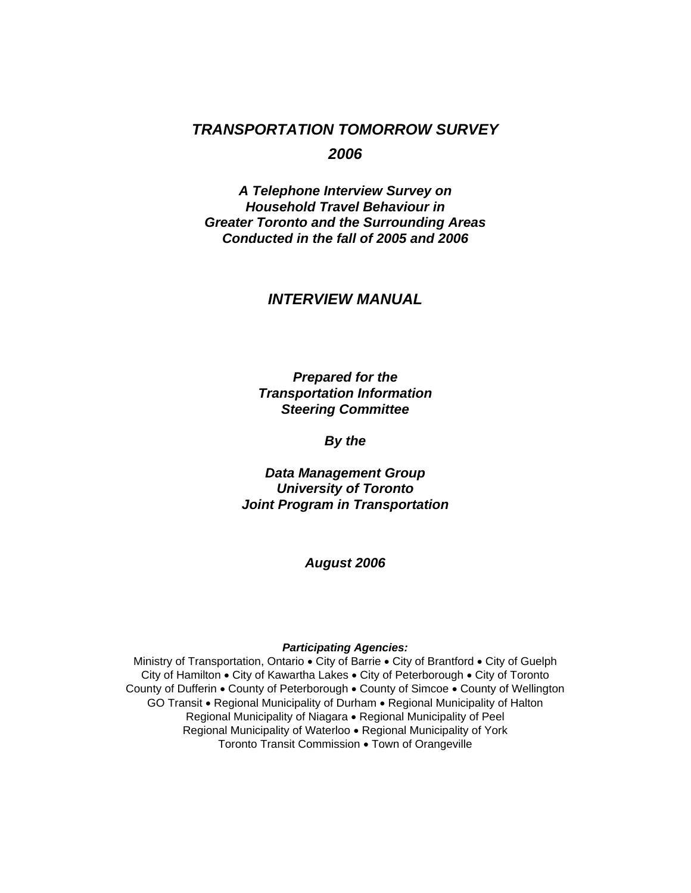## *TRANSPORTATION TOMORROW SURVEY 2006*

*A Telephone Interview Survey on Household Travel Behaviour in Greater Toronto and the Surrounding Areas Conducted in the fall of 2005 and 2006* 

### *INTERVIEW MANUAL*

*Prepared for the Transportation Information Steering Committee* 

*By the* 

*Data Management Group University of Toronto Joint Program in Transportation* 

*August 2006* 

#### *Participating Agencies:*

Ministry of Transportation, Ontario • City of Barrie • City of Brantford • City of Guelph City of Hamilton • City of Kawartha Lakes • City of Peterborough • City of Toronto County of Dufferin • County of Peterborough • County of Simcoe • County of Wellington GO Transit • Regional Municipality of Durham • Regional Municipality of Halton Regional Municipality of Niagara • Regional Municipality of Peel Regional Municipality of Waterloo • Regional Municipality of York Toronto Transit Commission • Town of Orangeville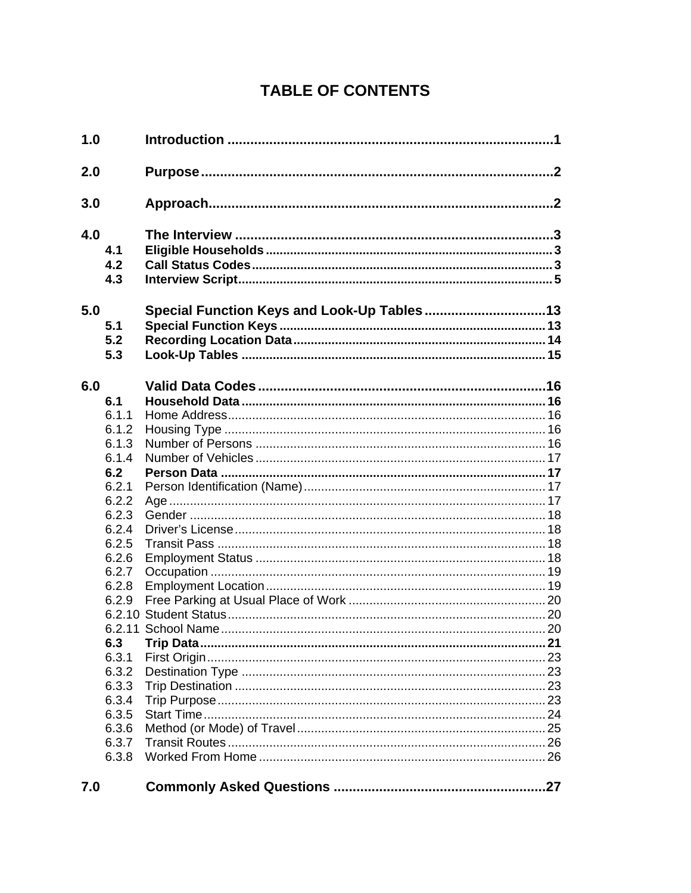# **TABLE OF CONTENTS**

| 1.0 |                   |                                             |  |
|-----|-------------------|---------------------------------------------|--|
| 2.0 |                   |                                             |  |
| 3.0 |                   |                                             |  |
| 4.0 | 4.1<br>4.2<br>4.3 |                                             |  |
| 5.0 | 5.1<br>5.2<br>5.3 | Special Function Keys and Look-Up Tables 13 |  |
| 6.0 |                   |                                             |  |
|     | 6.1               |                                             |  |
|     | 6.1.1             |                                             |  |
|     | 6.1.2             |                                             |  |
|     | 6.1.3             |                                             |  |
|     | 6.1.4             |                                             |  |
|     | 6.2               |                                             |  |
|     | 6.2.1             |                                             |  |
|     | 6.2.2             |                                             |  |
|     | 6.2.3             |                                             |  |
|     | 6.2.4             |                                             |  |
|     | 6.2.5             |                                             |  |
|     | 6.2.6             |                                             |  |
|     | 6.2.7             |                                             |  |
|     | 6.2.8             |                                             |  |
|     | 6.2.9             |                                             |  |
|     |                   |                                             |  |
|     |                   |                                             |  |
|     | 6.3               |                                             |  |
|     | 6.3.1             |                                             |  |
|     | 6.3.2             |                                             |  |
|     | 6.3.3             |                                             |  |
|     | 6.3.4             |                                             |  |
|     | 6.3.5             |                                             |  |
|     | 6.3.6             |                                             |  |
|     | 6.3.7             |                                             |  |
|     |                   |                                             |  |
|     | 6.3.8             |                                             |  |
| 7.0 |                   |                                             |  |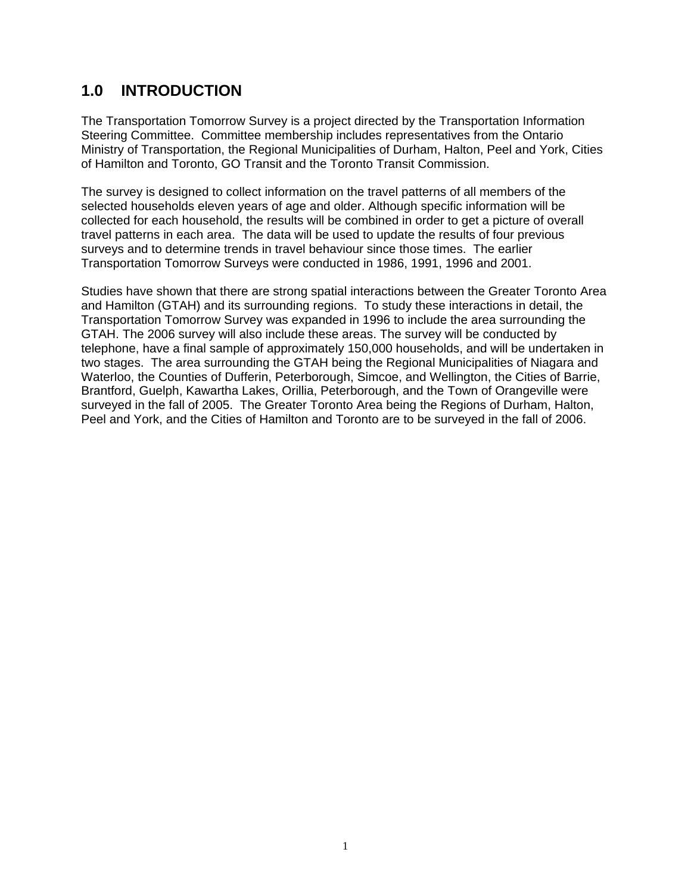## **1.0 INTRODUCTION**

The Transportation Tomorrow Survey is a project directed by the Transportation Information Steering Committee. Committee membership includes representatives from the Ontario Ministry of Transportation, the Regional Municipalities of Durham, Halton, Peel and York, Cities of Hamilton and Toronto, GO Transit and the Toronto Transit Commission.

The survey is designed to collect information on the travel patterns of all members of the selected households eleven years of age and older. Although specific information will be collected for each household, the results will be combined in order to get a picture of overall travel patterns in each area. The data will be used to update the results of four previous surveys and to determine trends in travel behaviour since those times. The earlier Transportation Tomorrow Surveys were conducted in 1986, 1991, 1996 and 2001.

Studies have shown that there are strong spatial interactions between the Greater Toronto Area and Hamilton (GTAH) and its surrounding regions. To study these interactions in detail, the Transportation Tomorrow Survey was expanded in 1996 to include the area surrounding the GTAH. The 2006 survey will also include these areas. The survey will be conducted by telephone, have a final sample of approximately 150,000 households, and will be undertaken in two stages. The area surrounding the GTAH being the Regional Municipalities of Niagara and Waterloo, the Counties of Dufferin, Peterborough, Simcoe, and Wellington, the Cities of Barrie, Brantford, Guelph, Kawartha Lakes, Orillia, Peterborough, and the Town of Orangeville were surveyed in the fall of 2005. The Greater Toronto Area being the Regions of Durham, Halton, Peel and York, and the Cities of Hamilton and Toronto are to be surveyed in the fall of 2006.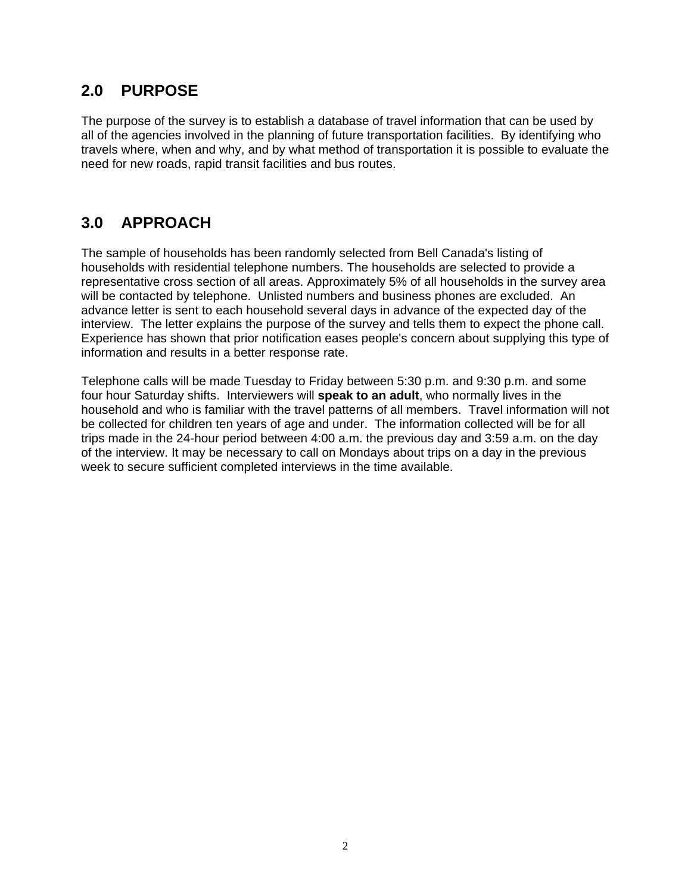## **2.0 PURPOSE**

The purpose of the survey is to establish a database of travel information that can be used by all of the agencies involved in the planning of future transportation facilities. By identifying who travels where, when and why, and by what method of transportation it is possible to evaluate the need for new roads, rapid transit facilities and bus routes.

## **3.0 APPROACH**

The sample of households has been randomly selected from Bell Canada's listing of households with residential telephone numbers. The households are selected to provide a representative cross section of all areas. Approximately 5% of all households in the survey area will be contacted by telephone. Unlisted numbers and business phones are excluded. An advance letter is sent to each household several days in advance of the expected day of the interview. The letter explains the purpose of the survey and tells them to expect the phone call. Experience has shown that prior notification eases people's concern about supplying this type of information and results in a better response rate.

Telephone calls will be made Tuesday to Friday between 5:30 p.m. and 9:30 p.m. and some four hour Saturday shifts. Interviewers will **speak to an adult**, who normally lives in the household and who is familiar with the travel patterns of all members. Travel information will not be collected for children ten years of age and under. The information collected will be for all trips made in the 24-hour period between 4:00 a.m. the previous day and 3:59 a.m. on the day of the interview. It may be necessary to call on Mondays about trips on a day in the previous week to secure sufficient completed interviews in the time available.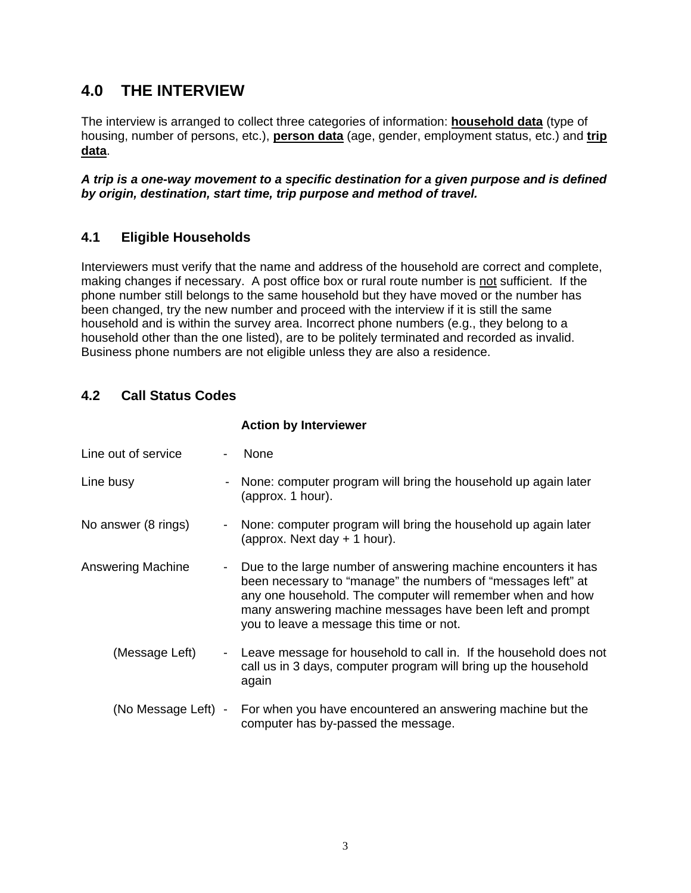## **4.0 THE INTERVIEW**

The interview is arranged to collect three categories of information: **household data** (type of housing, number of persons, etc.), **person data** (age, gender, employment status, etc.) and **trip data**.

*A trip is a one-way movement to a specific destination for a given purpose and is defined by origin, destination, start time, trip purpose and method of travel.* 

### **4.1 Eligible Households**

Interviewers must verify that the name and address of the household are correct and complete, making changes if necessary. A post office box or rural route number is not sufficient. If the phone number still belongs to the same household but they have moved or the number has been changed, try the new number and proceed with the interview if it is still the same household and is within the survey area. Incorrect phone numbers (e.g., they belong to a household other than the one listed), are to be politely terminated and recorded as invalid. Business phone numbers are not eligible unless they are also a residence.

### **4.2 Call Status Codes**

|                     |                          | <b>Action by Interviewer</b>                                                                                                                                                                                                                                                                          |
|---------------------|--------------------------|-------------------------------------------------------------------------------------------------------------------------------------------------------------------------------------------------------------------------------------------------------------------------------------------------------|
| Line out of service | $\blacksquare$           | <b>None</b>                                                                                                                                                                                                                                                                                           |
| Line busy           |                          | None: computer program will bring the household up again later<br>(approx. 1 hour).                                                                                                                                                                                                                   |
| No answer (8 rings) | Ξ.                       | None: computer program will bring the household up again later<br>(approx. Next day $+$ 1 hour).                                                                                                                                                                                                      |
| Answering Machine   | ۰.                       | Due to the large number of answering machine encounters it has<br>been necessary to "manage" the numbers of "messages left" at<br>any one household. The computer will remember when and how<br>many answering machine messages have been left and prompt<br>you to leave a message this time or not. |
| (Message Left)      | $\overline{\phantom{a}}$ | Leave message for household to call in. If the household does not<br>call us in 3 days, computer program will bring up the household<br>again                                                                                                                                                         |
| (No Message Left) - |                          | For when you have encountered an answering machine but the<br>computer has by-passed the message.                                                                                                                                                                                                     |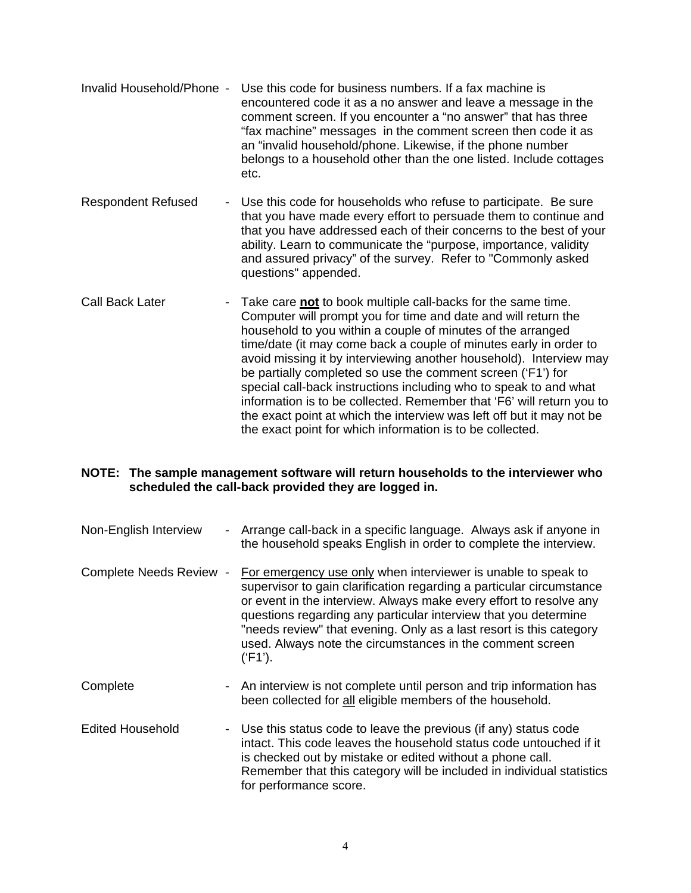- Invalid Household/Phone Use this code for business numbers. If a fax machine is encountered code it as a no answer and leave a message in the comment screen. If you encounter a "no answer" that has three "fax machine" messages in the comment screen then code it as an "invalid household/phone. Likewise, if the phone number belongs to a household other than the one listed. Include cottages etc.
- Respondent Refused Use this code for households who refuse to participate. Be sure that you have made every effort to persuade them to continue and that you have addressed each of their concerns to the best of your ability. Learn to communicate the "purpose, importance, validity and assured privacy" of the survey. Refer to "Commonly asked questions" appended.
- Call Back Later Take care **not** to book multiple call-backs for the same time. Computer will prompt you for time and date and will return the household to you within a couple of minutes of the arranged time/date (it may come back a couple of minutes early in order to avoid missing it by interviewing another household). Interview may be partially completed so use the comment screen ('F1') for special call-back instructions including who to speak to and what information is to be collected. Remember that 'F6' will return you to the exact point at which the interview was left off but it may not be the exact point for which information is to be collected.

#### **NOTE: The sample management software will return households to the interviewer who scheduled the call-back provided they are logged in.**

- Non-English Interview Arrange call-back in a specific language. Always ask if anyone in the household speaks English in order to complete the interview.
- Complete Needs Review For emergency use only when interviewer is unable to speak to supervisor to gain clarification regarding a particular circumstance or event in the interview. Always make every effort to resolve any questions regarding any particular interview that you determine "needs review" that evening. Only as a last resort is this category used. Always note the circumstances in the comment screen ('F1').
- Complete  **An interview is not complete until person and trip information has** been collected for all eligible members of the household.
- Edited Household Use this status code to leave the previous (if any) status code intact. This code leaves the household status code untouched if it is checked out by mistake or edited without a phone call. Remember that this category will be included in individual statistics for performance score.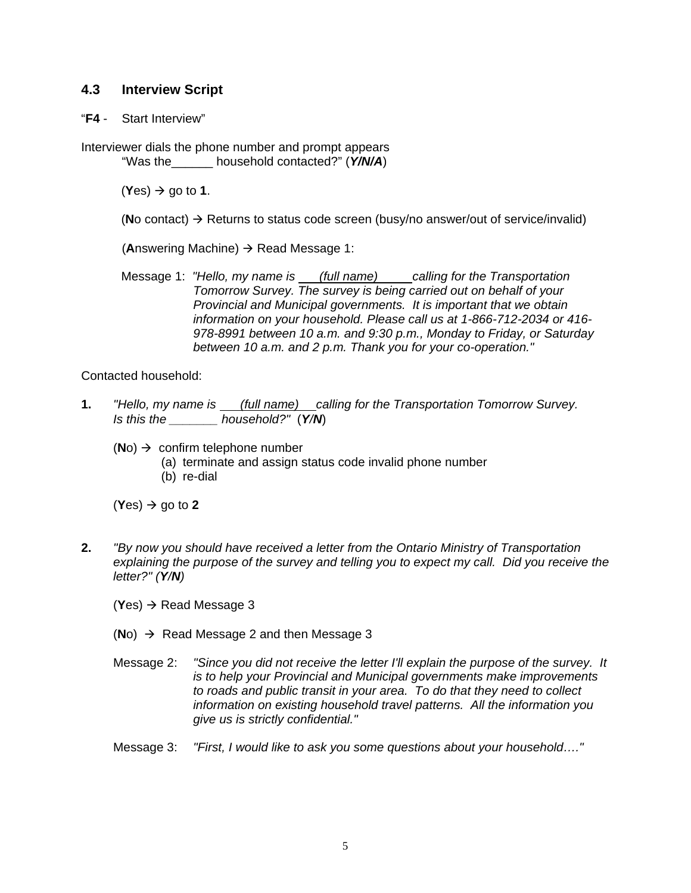#### **4.3 Interview Script**

"**F4** - Start Interview"

Interviewer dials the phone number and prompt appears "Was the\_\_\_\_\_\_ household contacted?" (*Y/N/A*)

 $(Yes) \rightarrow qo$  to 1.

**(No contact)**  $\rightarrow$  **Returns to status code screen (busy/no answer/out of service/invalid)** 

**(Answering Machine)**  $\rightarrow$  **Read Message 1:** 

Message 1: *"Hello, my name is (full name) calling for the Transportation Tomorrow Survey. The survey is being carried out on behalf of your Provincial and Municipal governments. It is important that we obtain information on your household. Please call us at 1-866-712-2034 or 416- 978-8991 between 10 a.m. and 9:30 p.m., Monday to Friday, or Saturday between 10 a.m. and 2 p.m. Thank you for your co-operation."*

Contacted household:

- **1.** *"Hello, my name is (full name) calling for the Transportation Tomorrow Survey. Is this the \_\_\_\_\_\_\_ household?"* (*Y/N*)
	- $(No) \rightarrow$  confirm telephone number
		- (a) terminate and assign status code invalid phone number
		- (b) re-dial

 $(Yes) \rightarrow qo$  to 2

- **2.** *"By now you should have received a letter from the Ontario Ministry of Transportation explaining the purpose of the survey and telling you to expect my call. Did you receive the letter?" (Y/N)* 
	- $(Yes) \rightarrow Read Message 3$
	- $(No) \rightarrow$  Read Message 2 and then Message 3
	- Message 2: *"Since you did not receive the letter I'll explain the purpose of the survey. It is to help your Provincial and Municipal governments make improvements to roads and public transit in your area. To do that they need to collect information on existing household travel patterns. All the information you give us is strictly confidential."*
	- Message 3: *"First, I would like to ask you some questions about your household…."*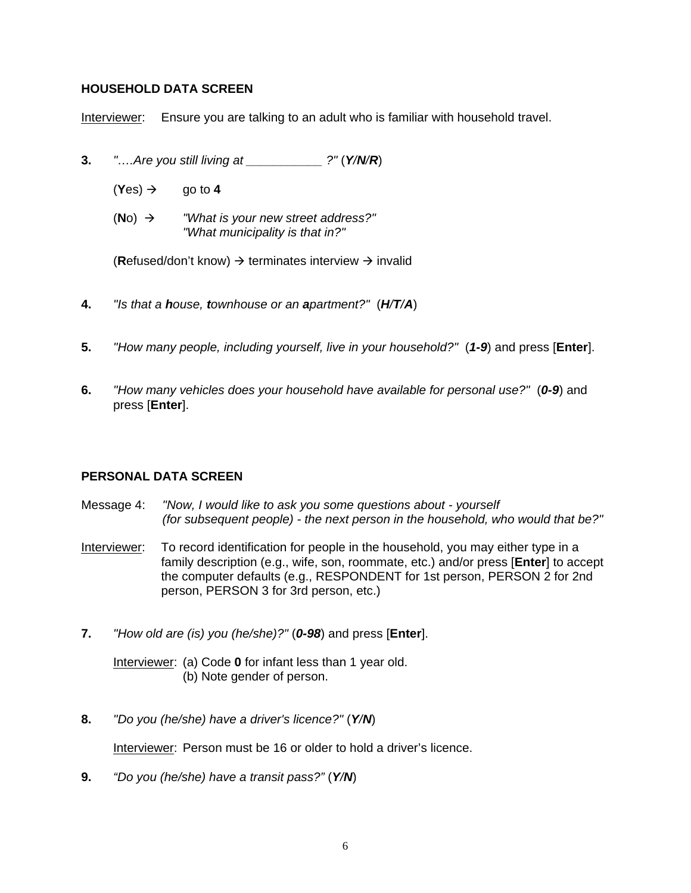#### **HOUSEHOLD DATA SCREEN**

Interviewer: Ensure you are talking to an adult who is familiar with household travel.

- **3.** *"….Are you still living at \_\_\_\_\_\_\_\_\_\_\_ ?"* (*Y/N/R*)
	- $(Yes) \rightarrow \text{q}$  go to 4
	- $(No)$   $\rightarrow$  *"What is your new street address?" "What municipality is that in?"*

(**R**efused/don't know)  $\rightarrow$  terminates interview  $\rightarrow$  invalid

- **4.** *"Is that a house, townhouse or an apartment?"* (*H/T/A*)
- **5.** *"How many people, including yourself, live in your household?"* (*1-9*) and press [**Enter**].
- **6.** *"How many vehicles does your household have available for personal use?"* (*0-9*) and press [**Enter**].

#### **PERSONAL DATA SCREEN**

- Message 4: *"Now, I would like to ask you some questions about yourself (for subsequent people) - the next person in the household, who would that be?"*
- Interviewer: To record identification for people in the household, you may either type in a family description (e.g., wife, son, roommate, etc.) and/or press [**Enter**] to accept the computer defaults (e.g., RESPONDENT for 1st person, PERSON 2 for 2nd person, PERSON 3 for 3rd person, etc.)
- **7.** *"How old are (is) you (he/she)?"* (*0-98*) and press [**Enter**].

Interviewer: (a) Code **0** for infant less than 1 year old. (b) Note gender of person.

**8.** *"Do you (he/she) have a driver's licence?"* (*Y/N*)

Interviewer: Person must be 16 or older to hold a driver's licence.

**9.** *"Do you (he/she) have a transit pass?"* (*Y/N*)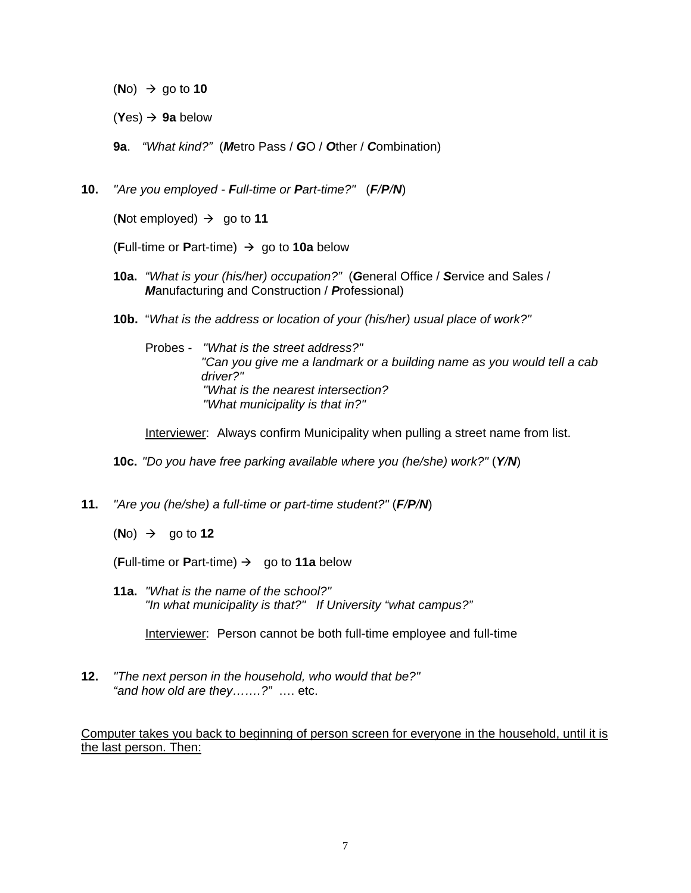$(No) \rightarrow qo$  to **10** 

 $(Yes) \rightarrow 9a$  below

 **9a**. *"What kind?"* (*M*etro Pass / *G*O / *O*ther / *C*ombination)

**10.** *"Are you employed - Full-time or Part-time?"* (*F/P/N*)

(**Not employed**)  $\rightarrow$  go to 11

(**Full-time or Part-time)**  $\rightarrow$  **go to 10a** below

- **10a.** *"What is your (his/her) occupation?"* (*G*eneral Office / *S*ervice and Sales / *M*anufacturing and Construction / *P*rofessional)
- **10b.** "*What is the address or location of your (his/her) usual place of work?"*

 Probes - *"What is the street address?" "Can you give me a landmark or a building name as you would tell a cab driver?" "What is the nearest intersection? "What municipality is that in?"* 

**Interviewer:** Always confirm Municipality when pulling a street name from list.

**10c.** *"Do you have free parking available where you (he/she) work?"* (*Y/N*)

**11.** *"Are you (he/she) a full-time or part-time student?"* (*F/P/N*)

 $(No) \rightarrow \text{go to 12}$ 

**(Full-time or Part-time)**  $\rightarrow$  **go to 11a below** 

**11a.** *"What is the name of the school?" "In what municipality is that?" If University "what campus?"* 

Interviewer: Person cannot be both full-time employee and full-time

**12.** *"The next person in the household, who would that be?" "and how old are they…….?"* …. etc.

Computer takes you back to beginning of person screen for everyone in the household, until it is the last person. Then: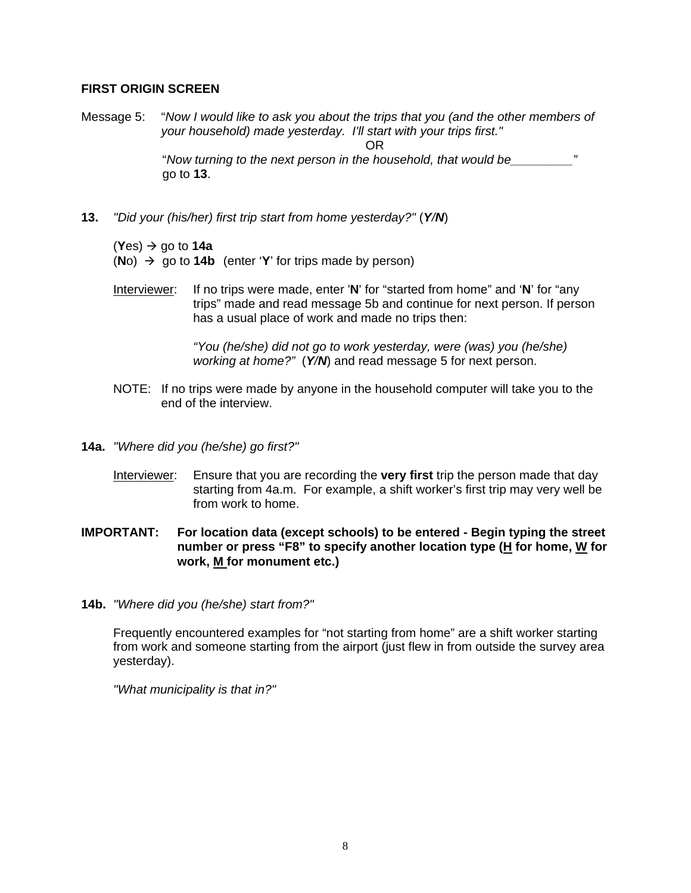#### **FIRST ORIGIN SCREEN**

Message 5: "*Now I would like to ask you about the trips that you (and the other members of your household) made yesterday. I'll start with your trips first."* 

**OR** Service Service Service Service Service Service Service Service Service Service Service Service Service Service Service Service Service Service Service Service Service Service Service Service Service Service Service S

 "*Now turning to the next person in the household, that would be\_\_\_\_\_\_\_\_\_"*  go to **13**.

**13.** *"Did your (his/her) first trip start from home yesterday?"* (*Y/N*)

 $(Yes) \rightarrow go$  to **14a** 

 $(No)$   $\rightarrow$  go to **14b** (enter '**Y**' for trips made by person)

Interviewer: If no trips were made, enter '**N**' for "started from home" and '**N**' for "any trips" made and read message 5b and continue for next person. If person has a usual place of work and made no trips then:

> *"You (he/she) did not go to work yesterday, were (was) you (he/she) working at home?"* (*Y/N*) and read message 5 for next person.

- NOTE: If no trips were made by anyone in the household computer will take you to the end of the interview.
- **14a.** *"Where did you (he/she) go first?"* 
	- Interviewer: Ensure that you are recording the **very first** trip the person made that day starting from 4a.m. For example, a shift worker's first trip may very well be from work to home.
- **IMPORTANT: For location data (except schools) to be entered Begin typing the street number or press "F8" to specify another location type (H for home, W for work, M for monument etc.)**
- **14b.** *"Where did you (he/she) start from?"*

Frequently encountered examples for "not starting from home" are a shift worker starting from work and someone starting from the airport (just flew in from outside the survey area yesterday).

*"What municipality is that in?"*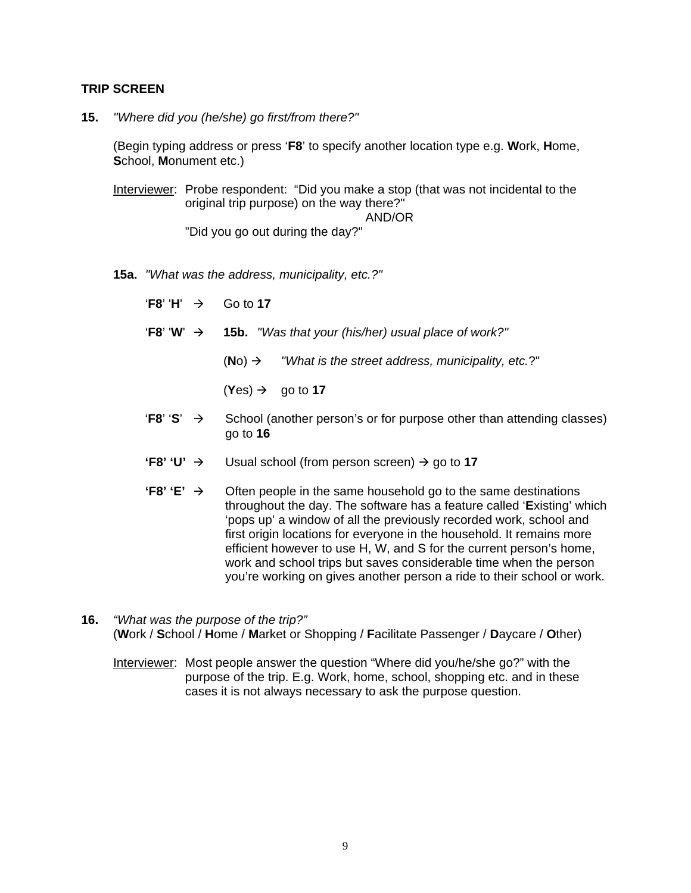#### **TRIP SCREEN**

**15.** *"Where did you (he/she) go first/from there?"* 

(Begin typing address or press '**F8**' to specify another location type e.g. **W**ork, **H**ome, **S**chool, **M**onument etc.)

Interviewer: Probe respondent: "Did you make a stop (that was not incidental to the original trip purpose) on the way there?" AND/OR

"Did you go out during the day?"

**15a.** *"What was the address, municipality, etc.?"* 

 $'F8' H' \rightarrow$  Go to 17

- $\mathbf{F8'} \mathbf{W'} \rightarrow \mathbf{15b.}$  *"Was that your (his/her) usual place of work?"* 
	- $(No) \rightarrow$  *"What is the street address, municipality, etc.*?"
	- $(Yes) \rightarrow \text{q}$  go to 17
- **'F8'**  $\rightarrow$  School (another person's or for purpose other than attending classes) go to **16**
- **'F8' 'U'**  $\rightarrow$  Usual school (from person screen)  $\rightarrow$  go to 17
- **'F8'**  $\div$   $\rightarrow$  Often people in the same household go to the same destinations throughout the day. The software has a feature called '**E**xisting' which 'pops up' a window of all the previously recorded work, school and first origin locations for everyone in the household. It remains more efficient however to use H, W, and S for the current person's home, work and school trips but saves considerable time when the person you're working on gives another person a ride to their school or work.
- **16.** *"What was the purpose of the trip?"*  (**W**ork / **S**chool / **H**ome / **M**arket or Shopping / **F**acilitate Passenger / **D**aycare / **O**ther)

Interviewer: Most people answer the question "Where did you/he/she go?" with the purpose of the trip. E.g. Work, home, school, shopping etc. and in these cases it is not always necessary to ask the purpose question.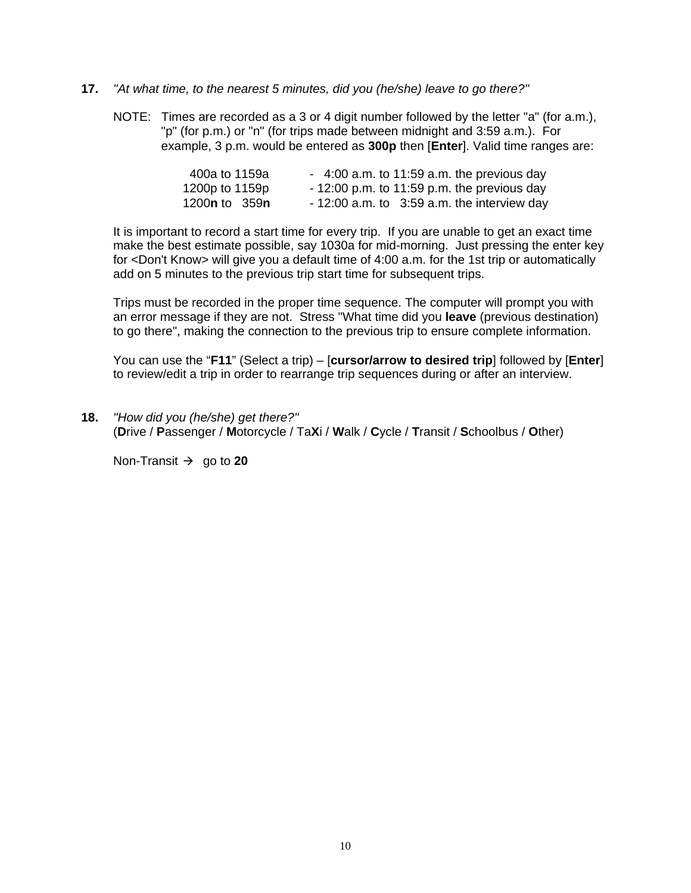#### **17.** *"At what time, to the nearest 5 minutes, did you (he/she) leave to go there?"*

 NOTE: Times are recorded as a 3 or 4 digit number followed by the letter "a" (for a.m.), "p" (for p.m.) or "n" (for trips made between midnight and 3:59 a.m.). For example, 3 p.m. would be entered as **300p** then [**Enter**]. Valid time ranges are:

| 400a to 1159a                 | $-4:00$ a.m. to 11:59 a.m. the previous day    |
|-------------------------------|------------------------------------------------|
| 1200p to 1159p                | $-12:00$ p.m. to 11:59 p.m. the previous day   |
| 1200 <b>n</b> to 359 <b>n</b> | $-12:00$ a.m. to $3:59$ a.m. the interview day |

It is important to record a start time for every trip. If you are unable to get an exact time make the best estimate possible, say 1030a for mid-morning. Just pressing the enter key for <Don't Know> will give you a default time of 4:00 a.m. for the 1st trip or automatically add on 5 minutes to the previous trip start time for subsequent trips.

Trips must be recorded in the proper time sequence. The computer will prompt you with an error message if they are not. Stress "What time did you **leave** (previous destination) to go there", making the connection to the previous trip to ensure complete information.

 You can use the "**F11**" (Select a trip) – [**cursor/arrow to desired trip**] followed by [**Enter**] to review/edit a trip in order to rearrange trip sequences during or after an interview.

**18.** *"How did you (he/she) get there?"*  (**D**rive / **P**assenger / **M**otorcycle / Ta**X**i / **W**alk / **C**ycle / **T**ransit / **S**choolbus / **O**ther)

Non-Transit  $\rightarrow$  go to 20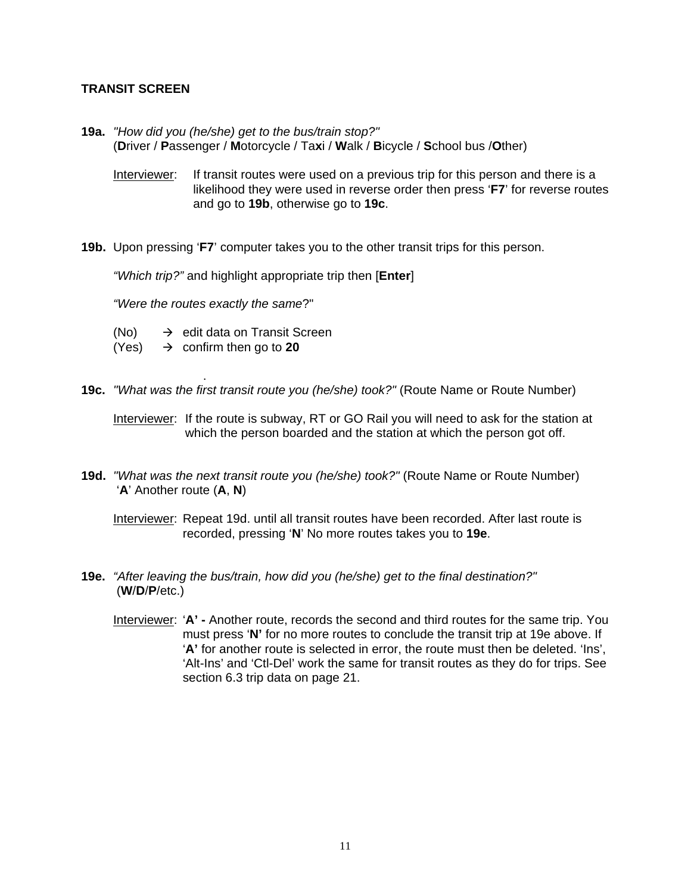#### **TRANSIT SCREEN**

.

- **19a.** *"How did you (he/she) get to the bus/train stop?"*  (**D**river / **P**assenger / **M**otorcycle / Ta**x**i / **W**alk / **B**icycle / **S**chool bus /**O**ther)
	- Interviewer: If transit routes were used on a previous trip for this person and there is a likelihood they were used in reverse order then press '**F7**' for reverse routes and go to **19b**, otherwise go to **19c**.
- **19b.** Upon pressing '**F7**' computer takes you to the other transit trips for this person.

*"Which trip?"* and highlight appropriate trip then [**Enter**]

 *"Were the routes exactly the same*?"

- (No)  $\rightarrow$  edit data on Transit Screen
- $(Yes) \rightarrow \text{confirm then go to } 20$
- **19c.** *"What was the first transit route you (he/she) took?"* (Route Name or Route Number)

Interviewer: If the route is subway, RT or GO Rail you will need to ask for the station at which the person boarded and the station at which the person got off.

**19d.** *"What was the next transit route you (he/she) took?"* (Route Name or Route Number) '**A**' Another route (**A**, **N**)

Interviewer: Repeat 19d. until all transit routes have been recorded. After last route is recorded, pressing '**N**' No more routes takes you to **19e**.

- **19e.** *"After leaving the bus/train, how did you (he/she) get to the final destination?"* (**W**/**D**/**P**/etc.)
	- Interviewer: '**A' -** Another route, records the second and third routes for the same trip. You must press '**N'** for no more routes to conclude the transit trip at 19e above. If '**A'** for another route is selected in error, the route must then be deleted. 'Ins', 'Alt-Ins' and 'Ctl-Del' work the same for transit routes as they do for trips. See section 6.3 trip data on page 21.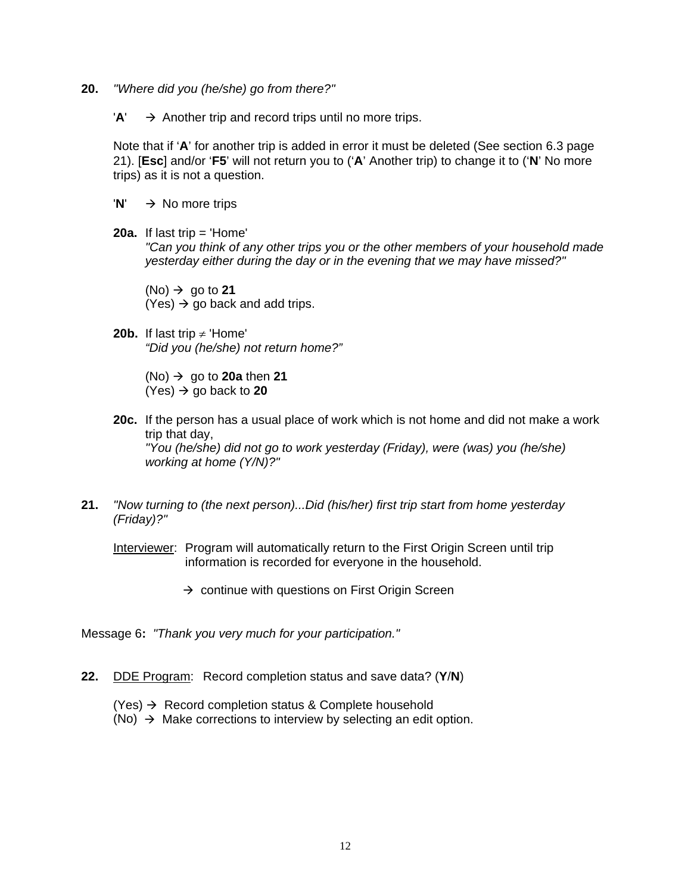- **20.** *"Where did you (he/she) go from there?"* 
	- $'A' \rightarrow$  Another trip and record trips until no more trips.

Note that if '**A**' for another trip is added in error it must be deleted (See section 6.3 page 21). [**Esc**] and/or '**F5**' will not return you to ('**A**' Another trip) to change it to ('**N**' No more trips) as it is not a question.

- $'N' \rightarrow No$  more trips
- **20a.** If last trip = 'Home'

 *"Can you think of any other trips you or the other members of your household made yesterday either during the day or in the evening that we may have missed?"* 

 $(No) \rightarrow go to 21$  $(Yes) \rightarrow go$  back and add trips.

**20b.** If last trip  $\neq$  'Home' *"Did you (he/she) not return home?"* 

> $(No)$   $\rightarrow$  go to **20a** then **21**  $(Yes) \rightarrow go$  back to **20**

- **20c.** If the person has a usual place of work which is not home and did not make a work trip that day, *"You (he/she) did not go to work yesterday (Friday), were (was) you (he/she) working at home (Y/N)?"*
- **21.** *"Now turning to (the next person)...Did (his/her) first trip start from home yesterday (Friday)?"*

Interviewer: Program will automatically return to the First Origin Screen until trip information is recorded for everyone in the household.

 $\rightarrow$  continue with questions on First Origin Screen

Message 6**:** *"Thank you very much for your participation."* 

- **22.** DDE Program: Record completion status and save data? (**Y**/**N**)
	- $(Yes) \rightarrow$  Record completion status & Complete household
	- (No)  $\rightarrow$  Make corrections to interview by selecting an edit option.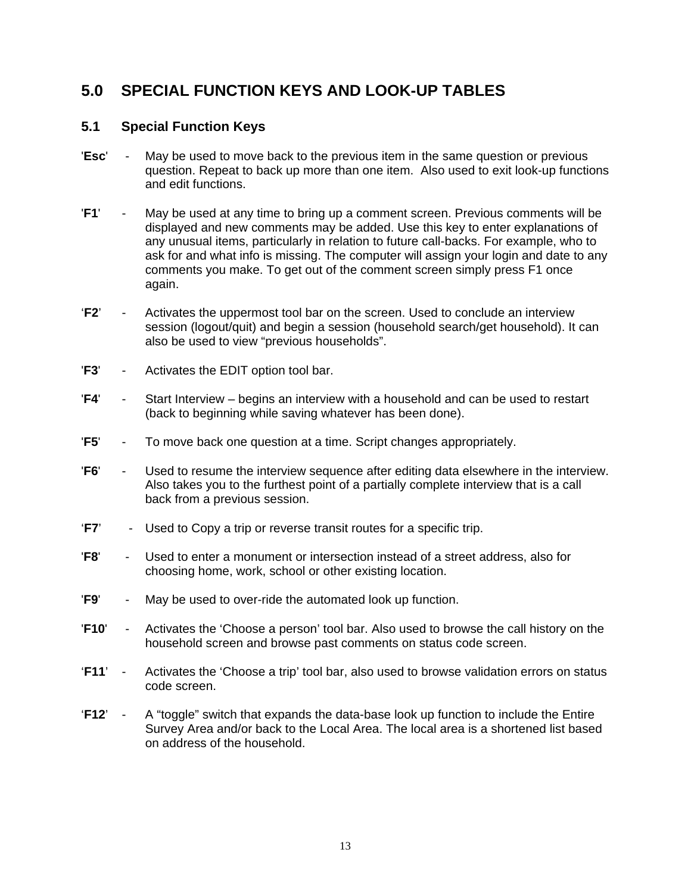## **5.0 SPECIAL FUNCTION KEYS AND LOOK-UP TABLES**

### **5.1 Special Function Keys**

- '**Esc**' May be used to move back to the previous item in the same question or previous question. Repeat to back up more than one item. Also used to exit look-up functions and edit functions.
- '**F1**' May be used at any time to bring up a comment screen. Previous comments will be displayed and new comments may be added. Use this key to enter explanations of any unusual items, particularly in relation to future call-backs. For example, who to ask for and what info is missing. The computer will assign your login and date to any comments you make. To get out of the comment screen simply press F1 once again.
- '**F2**' Activates the uppermost tool bar on the screen. Used to conclude an interview session (logout/quit) and begin a session (household search/get household). It can also be used to view "previous households".
- '**F3**' Activates the EDIT option tool bar.
- '**F4**' Start Interview begins an interview with a household and can be used to restart (back to beginning while saving whatever has been done).
- '**F5**' To move back one question at a time. Script changes appropriately.
- '**F6**' Used to resume the interview sequence after editing data elsewhere in the interview. Also takes you to the furthest point of a partially complete interview that is a call back from a previous session.
- '**F7**' Used to Copy a trip or reverse transit routes for a specific trip.
- '**F8**' Used to enter a monument or intersection instead of a street address, also for choosing home, work, school or other existing location.
- '**F9**' May be used to over-ride the automated look up function.
- '**F10**' Activates the 'Choose a person' tool bar. Also used to browse the call history on the household screen and browse past comments on status code screen.
- '**F11**' Activates the 'Choose a trip' tool bar, also used to browse validation errors on status code screen.
- '**F12**' A "toggle" switch that expands the data-base look up function to include the Entire Survey Area and/or back to the Local Area. The local area is a shortened list based on address of the household.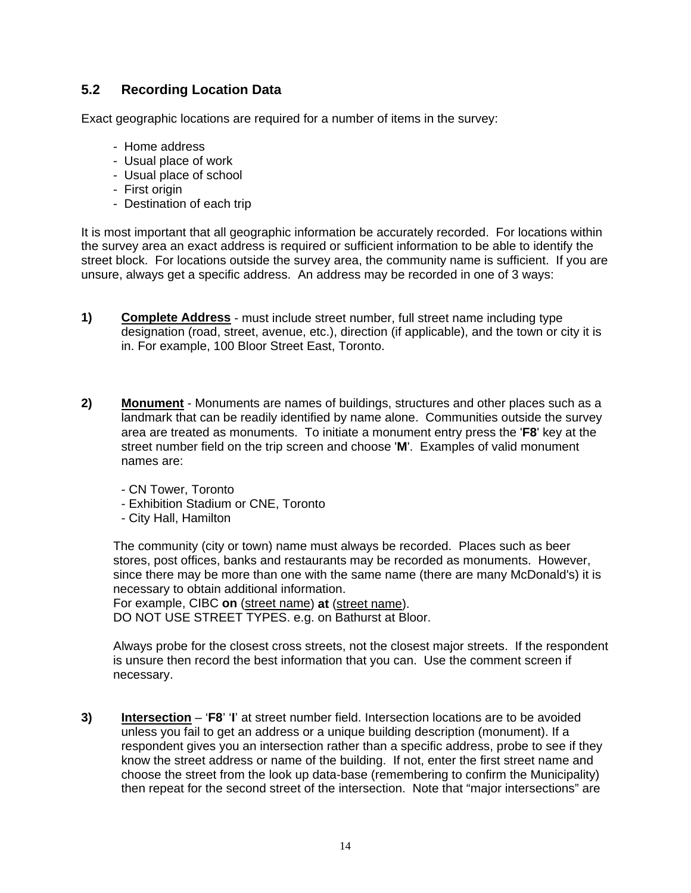### **5.2 Recording Location Data**

Exact geographic locations are required for a number of items in the survey:

- Home address
- Usual place of work
- Usual place of school
- First origin
- Destination of each trip

It is most important that all geographic information be accurately recorded. For locations within the survey area an exact address is required or sufficient information to be able to identify the street block. For locations outside the survey area, the community name is sufficient. If you are unsure, always get a specific address. An address may be recorded in one of 3 ways:

- **1) Complete Address** must include street number, full street name including type designation (road, street, avenue, etc.), direction (if applicable), and the town or city it is in. For example, 100 Bloor Street East, Toronto.
- **2) Monument** Monuments are names of buildings, structures and other places such as a landmark that can be readily identified by name alone. Communities outside the survey area are treated as monuments. To initiate a monument entry press the '**F8**' key at the street number field on the trip screen and choose '**M**'. Examples of valid monument names are:
	- CN Tower, Toronto
	- Exhibition Stadium or CNE, Toronto
	- City Hall, Hamilton

 The community (city or town) name must always be recorded. Places such as beer stores, post offices, banks and restaurants may be recorded as monuments. However, since there may be more than one with the same name (there are many McDonald's) it is necessary to obtain additional information.

For example, CIBC **on** (street name) **at** (street name). DO NOT USE STREET TYPES. e.g. on Bathurst at Bloor.

 Always probe for the closest cross streets, not the closest major streets. If the respondent is unsure then record the best information that you can. Use the comment screen if necessary.

**3) Intersection** – '**F8**' '**I**' at street number field. Intersection locations are to be avoided unless you fail to get an address or a unique building description (monument). If a respondent gives you an intersection rather than a specific address, probe to see if they know the street address or name of the building. If not, enter the first street name and choose the street from the look up data-base (remembering to confirm the Municipality) then repeat for the second street of the intersection. Note that "major intersections" are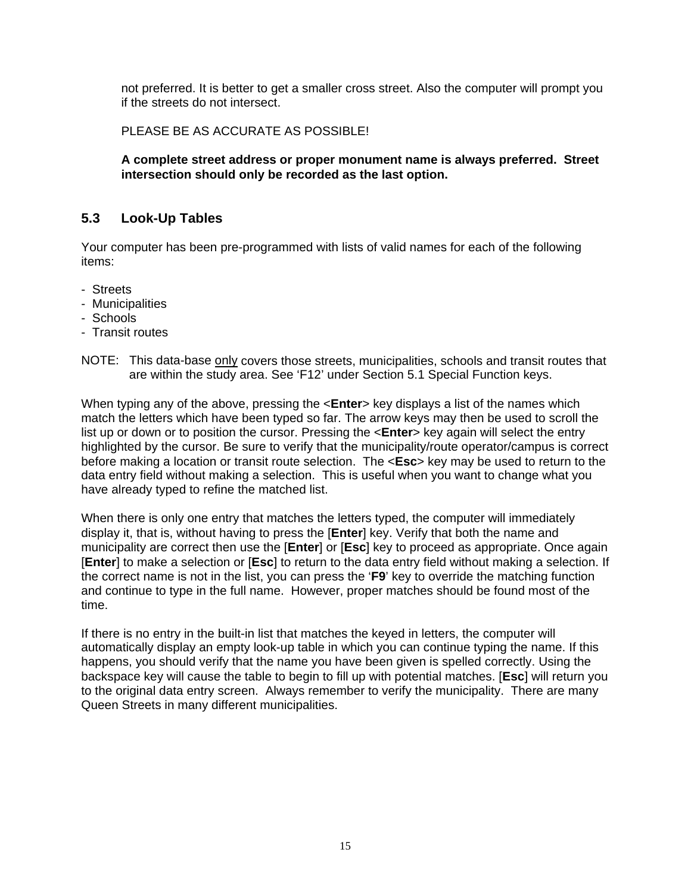not preferred. It is better to get a smaller cross street. Also the computer will prompt you if the streets do not intersect.

PLEASE BE AS ACCURATE AS POSSIBLE!

**A complete street address or proper monument name is always preferred. Street intersection should only be recorded as the last option.** 

### **5.3 Look-Up Tables**

Your computer has been pre-programmed with lists of valid names for each of the following items:

- Streets
- Municipalities
- Schools
- Transit routes
- NOTE: This data-base only covers those streets, municipalities, schools and transit routes that are within the study area. See 'F12' under Section 5.1 Special Function keys.

When typing any of the above, pressing the <**Enter**> key displays a list of the names which match the letters which have been typed so far. The arrow keys may then be used to scroll the list up or down or to position the cursor. Pressing the <**Enter**> key again will select the entry highlighted by the cursor. Be sure to verify that the municipality/route operator/campus is correct before making a location or transit route selection. The <**Esc**> key may be used to return to the data entry field without making a selection. This is useful when you want to change what you have already typed to refine the matched list.

When there is only one entry that matches the letters typed, the computer will immediately display it, that is, without having to press the [**Enter**] key. Verify that both the name and municipality are correct then use the [**Enter**] or [**Esc**] key to proceed as appropriate. Once again [**Enter**] to make a selection or [**Esc**] to return to the data entry field without making a selection. If the correct name is not in the list, you can press the '**F9**' key to override the matching function and continue to type in the full name. However, proper matches should be found most of the time.

If there is no entry in the built-in list that matches the keyed in letters, the computer will automatically display an empty look-up table in which you can continue typing the name. If this happens, you should verify that the name you have been given is spelled correctly. Using the backspace key will cause the table to begin to fill up with potential matches. [**Esc**] will return you to the original data entry screen. Always remember to verify the municipality. There are many Queen Streets in many different municipalities.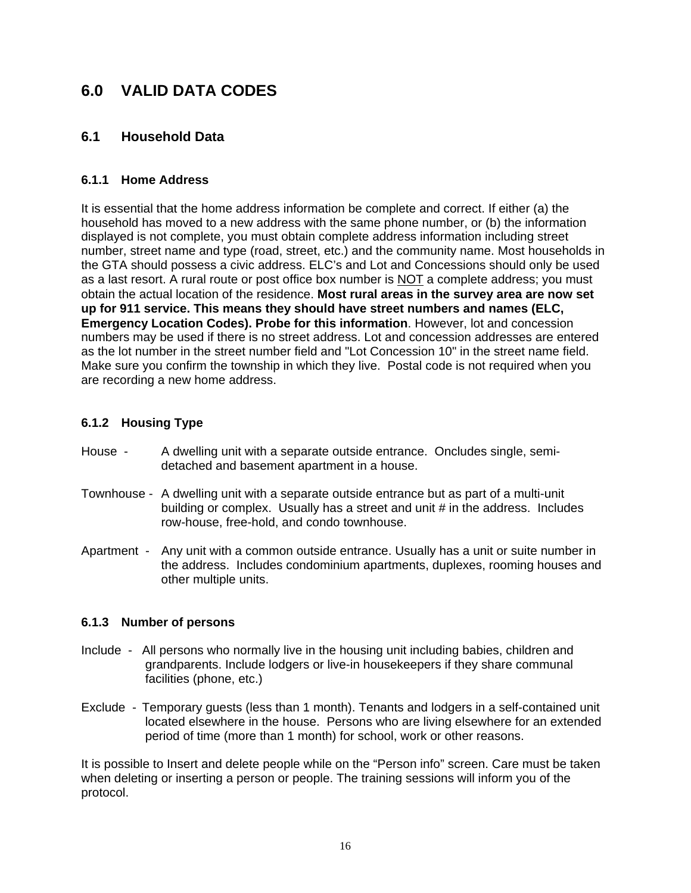## **6.0 VALID DATA CODES**

### **6.1 Household Data**

#### **6.1.1 Home Address**

It is essential that the home address information be complete and correct. If either (a) the household has moved to a new address with the same phone number, or (b) the information displayed is not complete, you must obtain complete address information including street number, street name and type (road, street, etc.) and the community name. Most households in the GTA should possess a civic address. ELC's and Lot and Concessions should only be used as a last resort. A rural route or post office box number is NOT a complete address; you must obtain the actual location of the residence. **Most rural areas in the survey area are now set up for 911 service. This means they should have street numbers and names (ELC, Emergency Location Codes). Probe for this information**. However, lot and concession numbers may be used if there is no street address. Lot and concession addresses are entered as the lot number in the street number field and "Lot Concession 10" in the street name field. Make sure you confirm the township in which they live. Postal code is not required when you are recording a new home address.

#### **6.1.2 Housing Type**

- House A dwelling unit with a separate outside entrance. Oncludes single, semidetached and basement apartment in a house.
- Townhouse A dwelling unit with a separate outside entrance but as part of a multi-unit building or complex. Usually has a street and unit # in the address. Includes row-house, free-hold, and condo townhouse.
- Apartment Any unit with a common outside entrance. Usually has a unit or suite number in the address. Includes condominium apartments, duplexes, rooming houses and other multiple units.

#### **6.1.3 Number of persons**

- Include All persons who normally live in the housing unit including babies, children and grandparents. Include lodgers or live-in housekeepers if they share communal facilities (phone, etc.)
- Exclude Temporary guests (less than 1 month). Tenants and lodgers in a self-contained unit located elsewhere in the house. Persons who are living elsewhere for an extended period of time (more than 1 month) for school, work or other reasons.

It is possible to Insert and delete people while on the "Person info" screen. Care must be taken when deleting or inserting a person or people. The training sessions will inform you of the protocol.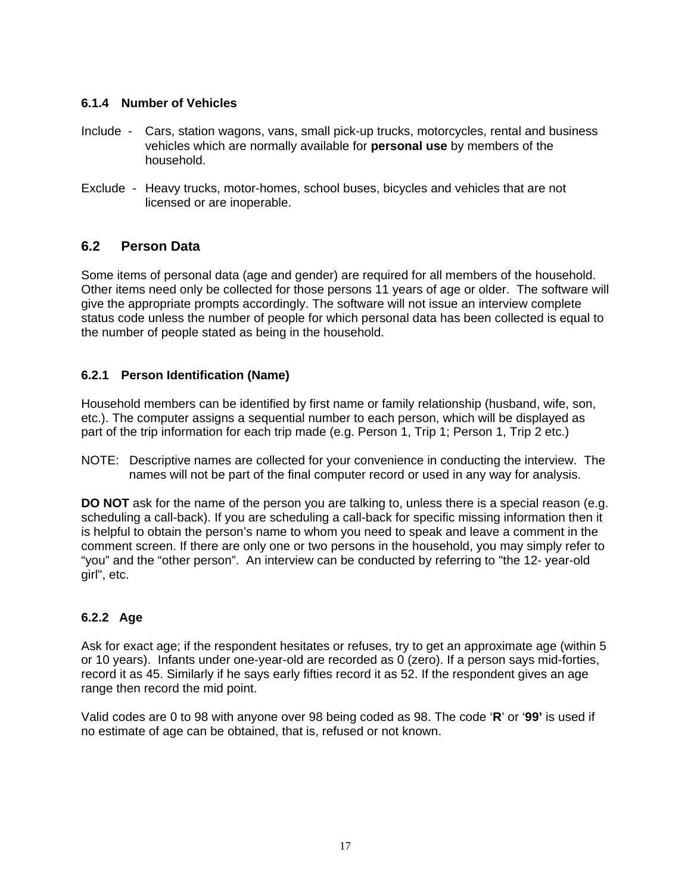#### **6.1.4 Number of Vehicles**

- Include Cars, station wagons, vans, small pick-up trucks, motorcycles, rental and business vehicles which are normally available for **personal use** by members of the household.
- Exclude Heavy trucks, motor-homes, school buses, bicycles and vehicles that are not licensed or are inoperable.

### **6.2 Person Data**

Some items of personal data (age and gender) are required for all members of the household. Other items need only be collected for those persons 11 years of age or older. The software will give the appropriate prompts accordingly. The software will not issue an interview complete status code unless the number of people for which personal data has been collected is equal to the number of people stated as being in the household.

### **6.2.1 Person Identification (Name)**

Household members can be identified by first name or family relationship (husband, wife, son, etc.). The computer assigns a sequential number to each person, which will be displayed as part of the trip information for each trip made (e.g. Person 1, Trip 1; Person 1, Trip 2 etc.)

NOTE: Descriptive names are collected for your convenience in conducting the interview. The names will not be part of the final computer record or used in any way for analysis.

**DO NOT** ask for the name of the person you are talking to, unless there is a special reason (e.g. scheduling a call-back). If you are scheduling a call-back for specific missing information then it is helpful to obtain the person's name to whom you need to speak and leave a comment in the comment screen. If there are only one or two persons in the household, you may simply refer to "you" and the "other person". An interview can be conducted by referring to "the 12- year-old girl", etc.

### **6.2.2 Age**

Ask for exact age; if the respondent hesitates or refuses, try to get an approximate age (within 5 or 10 years). Infants under one-year-old are recorded as 0 (zero). If a person says mid-forties, record it as 45. Similarly if he says early fifties record it as 52. If the respondent gives an age range then record the mid point.

Valid codes are 0 to 98 with anyone over 98 being coded as 98. The code '**R**' or '**99'** is used if no estimate of age can be obtained, that is, refused or not known.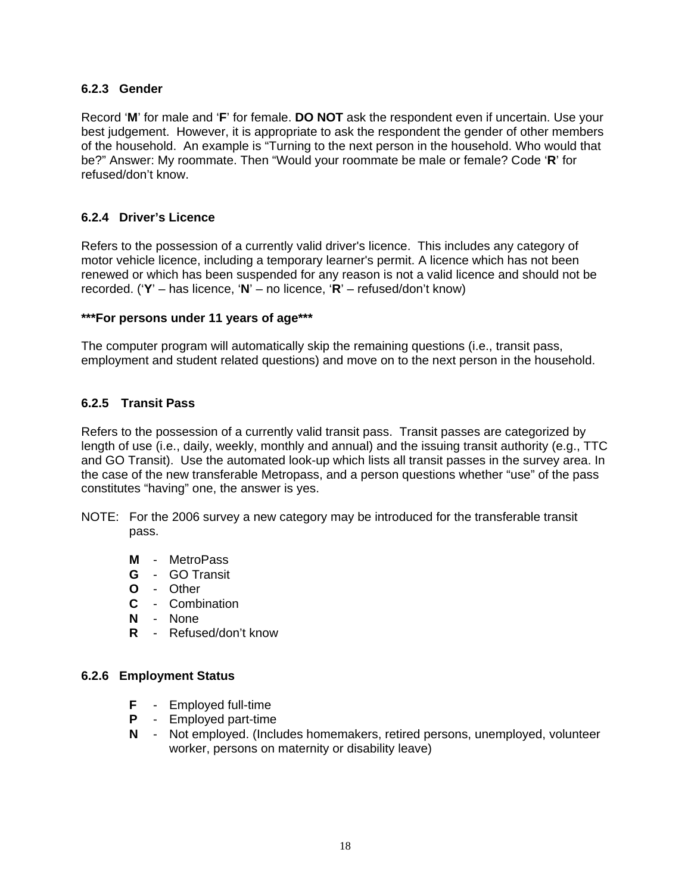#### **6.2.3 Gender**

Record '**M**' for male and '**F**' for female. **DO NOT** ask the respondent even if uncertain. Use your best judgement. However, it is appropriate to ask the respondent the gender of other members of the household. An example is "Turning to the next person in the household. Who would that be?" Answer: My roommate. Then "Would your roommate be male or female? Code '**R**' for refused/don't know.

#### **6.2.4 Driver's Licence**

Refers to the possession of a currently valid driver's licence. This includes any category of motor vehicle licence, including a temporary learner's permit. A licence which has not been renewed or which has been suspended for any reason is not a valid licence and should not be recorded. ('**Y**' – has licence, '**N**' – no licence, '**R**' – refused/don't know)

#### **\*\*\*For persons under 11 years of age\*\*\***

The computer program will automatically skip the remaining questions (i.e., transit pass, employment and student related questions) and move on to the next person in the household.

#### **6.2.5 Transit Pass**

Refers to the possession of a currently valid transit pass. Transit passes are categorized by length of use (i.e., daily, weekly, monthly and annual) and the issuing transit authority (e.g., TTC and GO Transit). Use the automated look-up which lists all transit passes in the survey area. In the case of the new transferable Metropass, and a person questions whether "use" of the pass constitutes "having" one, the answer is yes.

- NOTE: For the 2006 survey a new category may be introduced for the transferable transit pass.
	- **M** MetroPass
	- **G** GO Transit
	- **O** Other
	- **C** Combination
	- **N** None
	- **R** Refused/don't know

#### **6.2.6 Employment Status**

- **F** Employed full-time
- **P** Employed part-time
- **N** Not employed. (Includes homemakers, retired persons, unemployed, volunteer worker, persons on maternity or disability leave)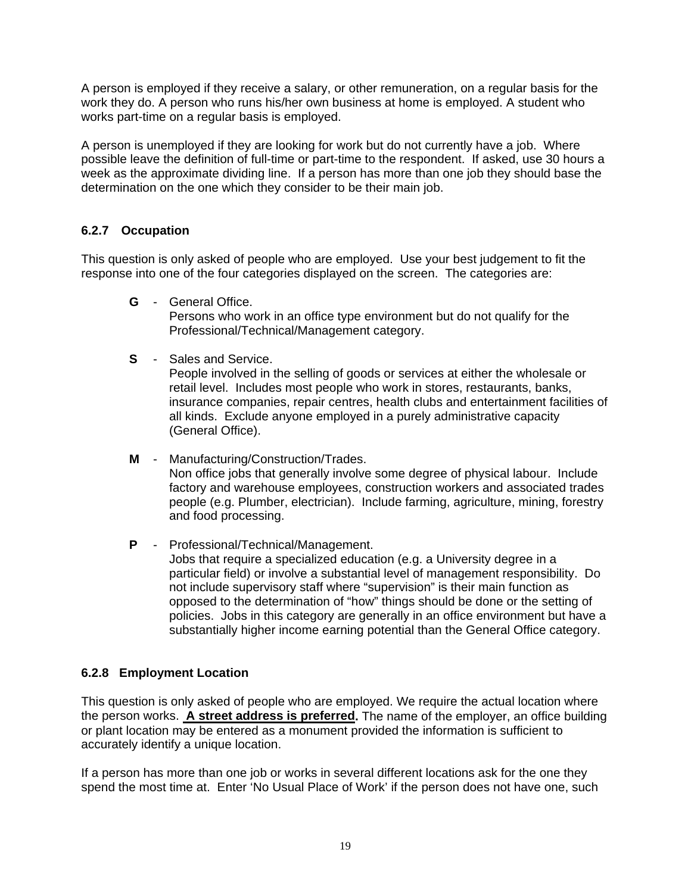A person is employed if they receive a salary, or other remuneration, on a regular basis for the work they do. A person who runs his/her own business at home is employed. A student who works part-time on a regular basis is employed.

A person is unemployed if they are looking for work but do not currently have a job. Where possible leave the definition of full-time or part-time to the respondent. If asked, use 30 hours a week as the approximate dividing line. If a person has more than one job they should base the determination on the one which they consider to be their main job.

#### **6.2.7 Occupation**

This question is only asked of people who are employed. Use your best judgement to fit the response into one of the four categories displayed on the screen. The categories are:

**G** - General Office.

Persons who work in an office type environment but do not qualify for the Professional/Technical/Management category.

**S** - Sales and Service.

People involved in the selling of goods or services at either the wholesale or retail level. Includes most people who work in stores, restaurants, banks, insurance companies, repair centres, health clubs and entertainment facilities of all kinds. Exclude anyone employed in a purely administrative capacity (General Office).

- **M** Manufacturing/Construction/Trades. Non office jobs that generally involve some degree of physical labour. Include factory and warehouse employees, construction workers and associated trades people (e.g. Plumber, electrician). Include farming, agriculture, mining, forestry and food processing.
- **P** Professional/Technical/Management. Jobs that require a specialized education (e.g. a University degree in a particular field) or involve a substantial level of management responsibility. Do not include supervisory staff where "supervision" is their main function as opposed to the determination of "how" things should be done or the setting of policies. Jobs in this category are generally in an office environment but have a substantially higher income earning potential than the General Office category.

#### **6.2.8 Employment Location**

This question is only asked of people who are employed. We require the actual location where the person works. **A street address is preferred.** The name of the employer, an office building or plant location may be entered as a monument provided the information is sufficient to accurately identify a unique location.

If a person has more than one job or works in several different locations ask for the one they spend the most time at. Enter 'No Usual Place of Work' if the person does not have one, such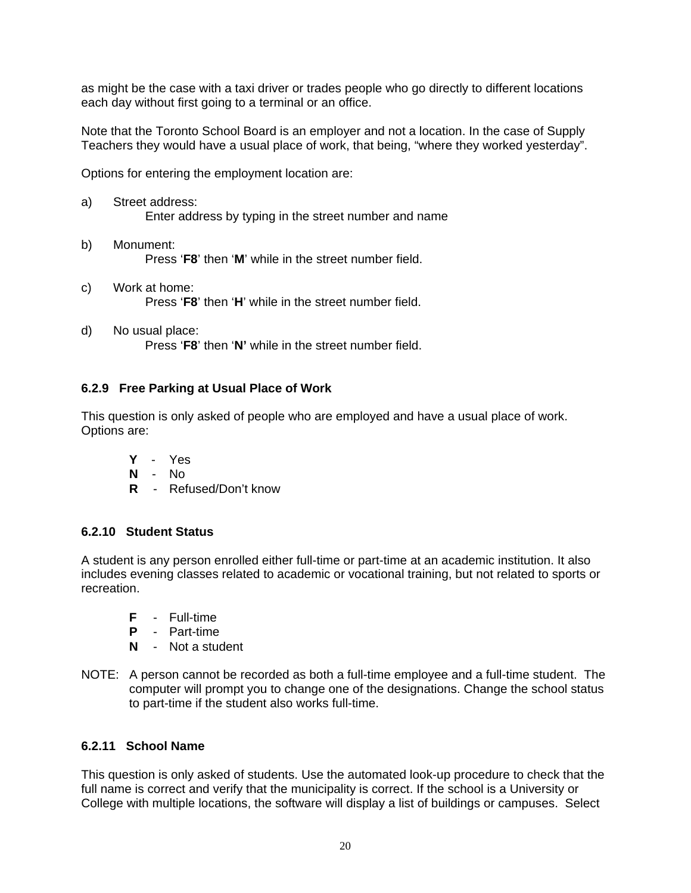as might be the case with a taxi driver or trades people who go directly to different locations each day without first going to a terminal or an office.

Note that the Toronto School Board is an employer and not a location. In the case of Supply Teachers they would have a usual place of work, that being, "where they worked yesterday".

Options for entering the employment location are:

- a) Street address: Enter address by typing in the street number and name
- b) Monument: Press '**F8**' then '**M**' while in the street number field.
- c) Work at home: Press '**F8**' then '**H**' while in the street number field.
- d) No usual place: Press '**F8**' then '**N'** while in the street number field.

#### **6.2.9 Free Parking at Usual Place of Work**

This question is only asked of people who are employed and have a usual place of work. Options are:

- **Y** Yes
- **N** No
- **R** Refused/Don't know

#### **6.2.10 Student Status**

A student is any person enrolled either full-time or part-time at an academic institution. It also includes evening classes related to academic or vocational training, but not related to sports or recreation.

- **F** Full-time
- **P** Part-time
- **N** Not a student
- NOTE: A person cannot be recorded as both a full-time employee and a full-time student. The computer will prompt you to change one of the designations. Change the school status to part-time if the student also works full-time.

#### **6.2.11 School Name**

This question is only asked of students. Use the automated look-up procedure to check that the full name is correct and verify that the municipality is correct. If the school is a University or College with multiple locations, the software will display a list of buildings or campuses. Select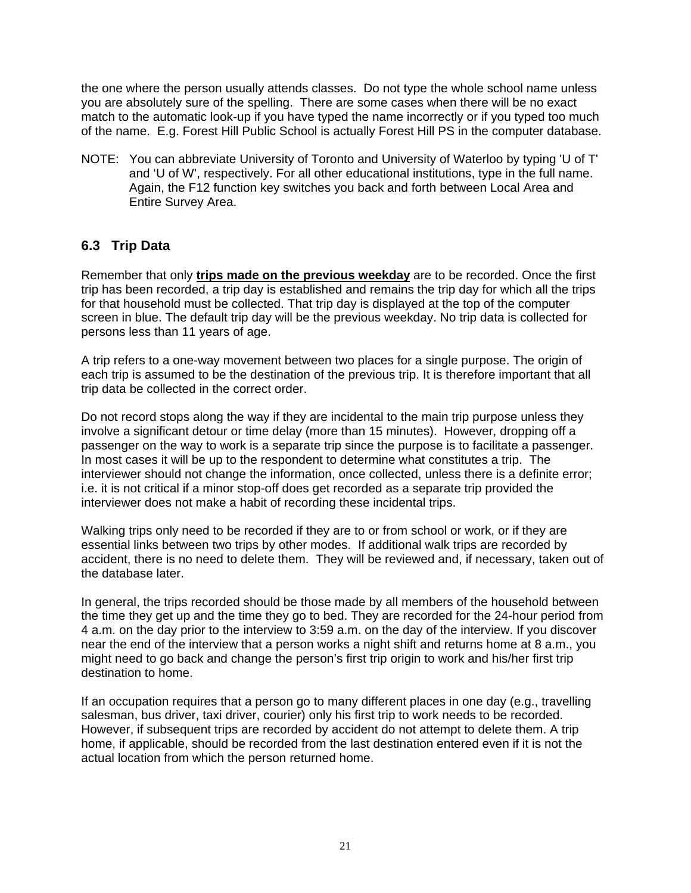the one where the person usually attends classes. Do not type the whole school name unless you are absolutely sure of the spelling. There are some cases when there will be no exact match to the automatic look-up if you have typed the name incorrectly or if you typed too much of the name. E.g. Forest Hill Public School is actually Forest Hill PS in the computer database.

NOTE: You can abbreviate University of Toronto and University of Waterloo by typing 'U of T' and 'U of W', respectively. For all other educational institutions, type in the full name. Again, the F12 function key switches you back and forth between Local Area and Entire Survey Area.

### **6.3 Trip Data**

Remember that only **trips made on the previous weekday** are to be recorded. Once the first trip has been recorded, a trip day is established and remains the trip day for which all the trips for that household must be collected. That trip day is displayed at the top of the computer screen in blue. The default trip day will be the previous weekday. No trip data is collected for persons less than 11 years of age.

A trip refers to a one-way movement between two places for a single purpose. The origin of each trip is assumed to be the destination of the previous trip. It is therefore important that all trip data be collected in the correct order.

Do not record stops along the way if they are incidental to the main trip purpose unless they involve a significant detour or time delay (more than 15 minutes). However, dropping off a passenger on the way to work is a separate trip since the purpose is to facilitate a passenger. In most cases it will be up to the respondent to determine what constitutes a trip. The interviewer should not change the information, once collected, unless there is a definite error; i.e. it is not critical if a minor stop-off does get recorded as a separate trip provided the interviewer does not make a habit of recording these incidental trips.

Walking trips only need to be recorded if they are to or from school or work, or if they are essential links between two trips by other modes. If additional walk trips are recorded by accident, there is no need to delete them. They will be reviewed and, if necessary, taken out of the database later.

In general, the trips recorded should be those made by all members of the household between the time they get up and the time they go to bed. They are recorded for the 24-hour period from 4 a.m. on the day prior to the interview to 3:59 a.m. on the day of the interview. If you discover near the end of the interview that a person works a night shift and returns home at 8 a.m., you might need to go back and change the person's first trip origin to work and his/her first trip destination to home.

If an occupation requires that a person go to many different places in one day (e.g., travelling salesman, bus driver, taxi driver, courier) only his first trip to work needs to be recorded. However, if subsequent trips are recorded by accident do not attempt to delete them. A trip home, if applicable, should be recorded from the last destination entered even if it is not the actual location from which the person returned home.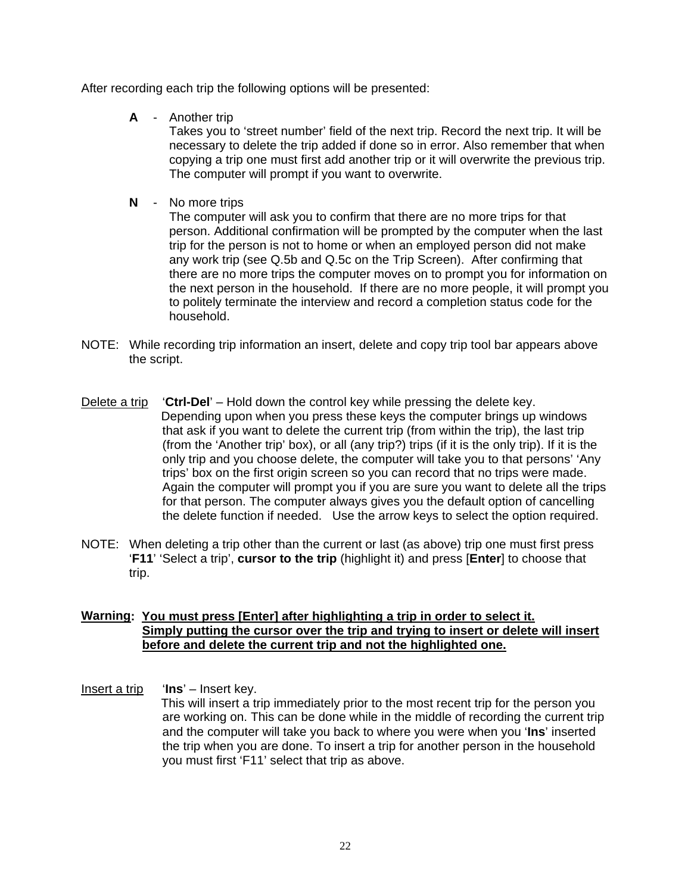After recording each trip the following options will be presented:

**A** - Another trip

Takes you to 'street number' field of the next trip. Record the next trip. It will be necessary to delete the trip added if done so in error. Also remember that when copying a trip one must first add another trip or it will overwrite the previous trip. The computer will prompt if you want to overwrite.

**N** - No more trips

The computer will ask you to confirm that there are no more trips for that person. Additional confirmation will be prompted by the computer when the last trip for the person is not to home or when an employed person did not make any work trip (see Q.5b and Q.5c on the Trip Screen). After confirming that there are no more trips the computer moves on to prompt you for information on the next person in the household. If there are no more people, it will prompt you to politely terminate the interview and record a completion status code for the household.

- NOTE: While recording trip information an insert, delete and copy trip tool bar appears above the script.
- Delete a trip '**Ctrl-Del**' Hold down the control key while pressing the delete key. Depending upon when you press these keys the computer brings up windows that ask if you want to delete the current trip (from within the trip), the last trip (from the 'Another trip' box), or all (any trip?) trips (if it is the only trip). If it is the only trip and you choose delete, the computer will take you to that persons' 'Any trips' box on the first origin screen so you can record that no trips were made. Again the computer will prompt you if you are sure you want to delete all the trips for that person. The computer always gives you the default option of cancelling the delete function if needed. Use the arrow keys to select the option required.
- NOTE: When deleting a trip other than the current or last (as above) trip one must first press '**F11**' 'Select a trip', **cursor to the trip** (highlight it) and press [**Enter**] to choose that trip.

#### **Warning: You must press [Enter] after highlighting a trip in order to select it. Simply putting the cursor over the trip and trying to insert or delete will insert before and delete the current trip and not the highlighted one.**

Insert a trip '**Ins**' – Insert key. This will insert a trip immediately prior to the most recent trip for the person you are working on. This can be done while in the middle of recording the current trip and the computer will take you back to where you were when you '**Ins**' inserted the trip when you are done. To insert a trip for another person in the household you must first 'F11' select that trip as above.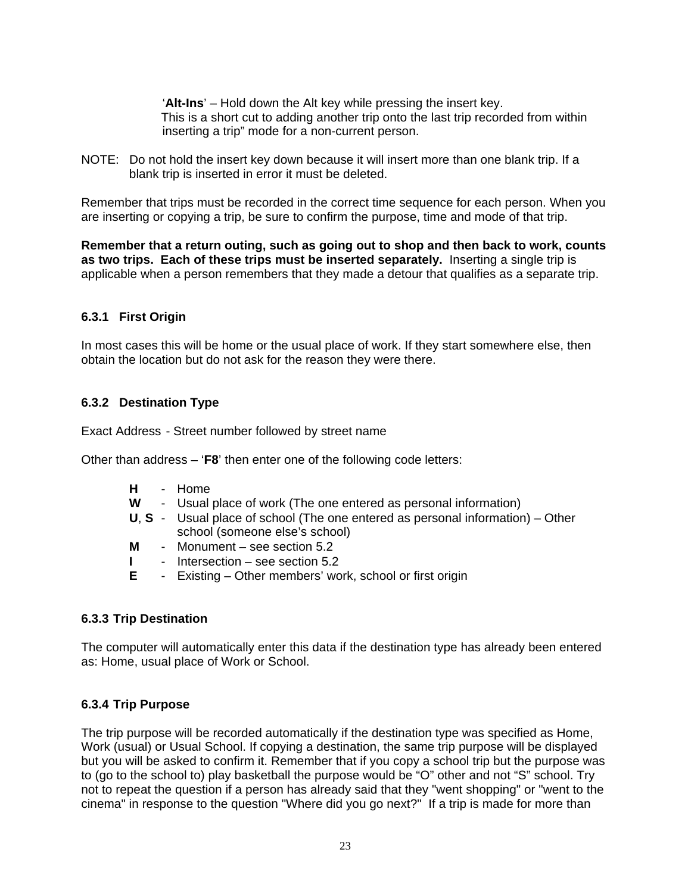'**Alt-Ins**' – Hold down the Alt key while pressing the insert key. This is a short cut to adding another trip onto the last trip recorded from within inserting a trip" mode for a non-current person.

NOTE: Do not hold the insert key down because it will insert more than one blank trip. If a blank trip is inserted in error it must be deleted.

Remember that trips must be recorded in the correct time sequence for each person. When you are inserting or copying a trip, be sure to confirm the purpose, time and mode of that trip.

**Remember that a return outing, such as going out to shop and then back to work, counts as two trips. Each of these trips must be inserted separately.** Inserting a single trip is applicable when a person remembers that they made a detour that qualifies as a separate trip.

#### **6.3.1 First Origin**

In most cases this will be home or the usual place of work. If they start somewhere else, then obtain the location but do not ask for the reason they were there.

#### **6.3.2 Destination Type**

Exact Address - Street number followed by street name

Other than address – '**F8**' then enter one of the following code letters:

- **H**  Home
- **W** Usual place of work (The one entered as personal information)
- **U**, **S** Usual place of school (The one entered as personal information) Other school (someone else's school)
- **M** Monument see section 5.2
- **I** Intersection see section 5.2
- **E** Existing Other members' work, school or first origin

#### **6.3.3 Trip Destination**

The computer will automatically enter this data if the destination type has already been entered as: Home, usual place of Work or School.

#### **6.3.4 Trip Purpose**

The trip purpose will be recorded automatically if the destination type was specified as Home, Work (usual) or Usual School. If copying a destination, the same trip purpose will be displayed but you will be asked to confirm it. Remember that if you copy a school trip but the purpose was to (go to the school to) play basketball the purpose would be "O" other and not "S" school. Try not to repeat the question if a person has already said that they "went shopping" or "went to the cinema" in response to the question "Where did you go next?" If a trip is made for more than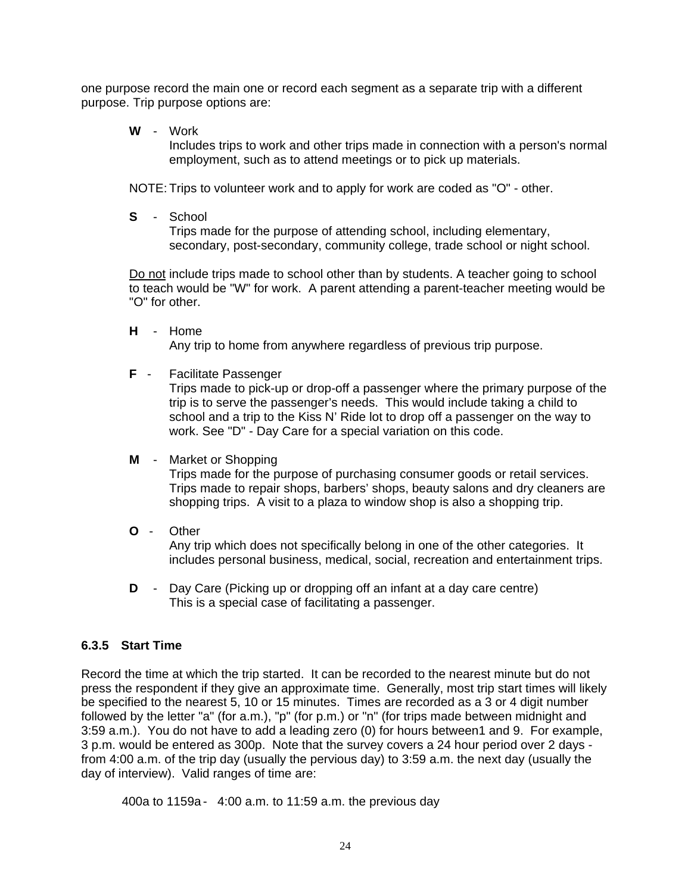one purpose record the main one or record each segment as a separate trip with a different purpose. Trip purpose options are:

**W** - Work

Includes trips to work and other trips made in connection with a person's normal employment, such as to attend meetings or to pick up materials.

NOTE: Trips to volunteer work and to apply for work are coded as "O" - other.

**S** - School

Trips made for the purpose of attending school, including elementary, secondary, post-secondary, community college, trade school or night school.

Do not include trips made to school other than by students. A teacher going to school to teach would be "W" for work. A parent attending a parent-teacher meeting would be "O" for other.

- **H** Home Any trip to home from anywhere regardless of previous trip purpose.
- **F** Facilitate Passenger

Trips made to pick-up or drop-off a passenger where the primary purpose of the trip is to serve the passenger's needs. This would include taking a child to school and a trip to the Kiss N' Ride lot to drop off a passenger on the way to work. See "D" - Day Care for a special variation on this code.

#### **M** - Market or Shopping

Trips made for the purpose of purchasing consumer goods or retail services. Trips made to repair shops, barbers' shops, beauty salons and dry cleaners are shopping trips. A visit to a plaza to window shop is also a shopping trip.

**O** - Other

Any trip which does not specifically belong in one of the other categories. It includes personal business, medical, social, recreation and entertainment trips.

**D** - Day Care (Picking up or dropping off an infant at a day care centre) This is a special case of facilitating a passenger.

#### **6.3.5 Start Time**

Record the time at which the trip started. It can be recorded to the nearest minute but do not press the respondent if they give an approximate time. Generally, most trip start times will likely be specified to the nearest 5, 10 or 15 minutes. Times are recorded as a 3 or 4 digit number followed by the letter "a" (for a.m.), "p" (for p.m.) or "n" (for trips made between midnight and 3:59 a.m.). You do not have to add a leading zero (0) for hours between1 and 9. For example, 3 p.m. would be entered as 300p. Note that the survey covers a 24 hour period over 2 days from 4:00 a.m. of the trip day (usually the pervious day) to 3:59 a.m. the next day (usually the day of interview). Valid ranges of time are:

400a to 1159a - 4:00 a.m. to 11:59 a.m. the previous day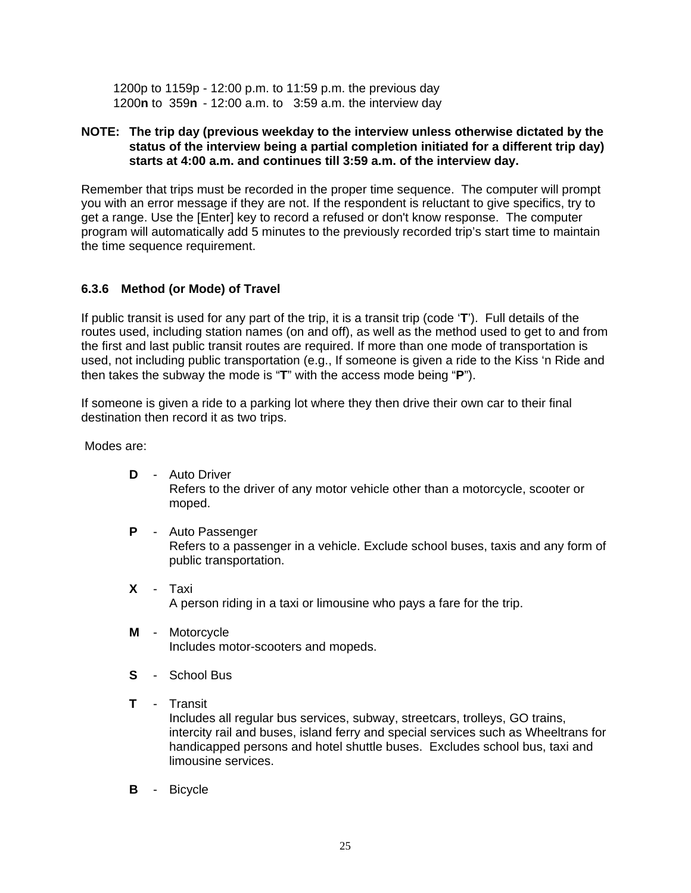1200p to 1159p - 12:00 p.m. to 11:59 p.m. the previous day 1200**n** to 359**n** - 12:00 a.m. to 3:59 a.m. the interview day

#### **NOTE: The trip day (previous weekday to the interview unless otherwise dictated by the status of the interview being a partial completion initiated for a different trip day) starts at 4:00 a.m. and continues till 3:59 a.m. of the interview day.**

Remember that trips must be recorded in the proper time sequence. The computer will prompt you with an error message if they are not. If the respondent is reluctant to give specifics, try to get a range. Use the [Enter] key to record a refused or don't know response. The computer program will automatically add 5 minutes to the previously recorded trip's start time to maintain the time sequence requirement.

#### **6.3.6 Method (or Mode) of Travel**

If public transit is used for any part of the trip, it is a transit trip (code '**T**'). Full details of the routes used, including station names (on and off), as well as the method used to get to and from the first and last public transit routes are required. If more than one mode of transportation is used, not including public transportation (e.g., If someone is given a ride to the Kiss 'n Ride and then takes the subway the mode is "**T**" with the access mode being "**P**").

If someone is given a ride to a parking lot where they then drive their own car to their final destination then record it as two trips.

Modes are:

- **D**  Auto Driver Refers to the driver of any motor vehicle other than a motorcycle, scooter or moped.
- **P**  Auto Passenger Refers to a passenger in a vehicle. Exclude school buses, taxis and any form of public transportation.
- **X**  Taxi A person riding in a taxi or limousine who pays a fare for the trip.
- **M**  Motorcycle Includes motor-scooters and mopeds.
- **S**  School Bus
- **T**  Transit Includes all regular bus services, subway, streetcars, trolleys, GO trains, intercity rail and buses, island ferry and special services such as Wheeltrans for handicapped persons and hotel shuttle buses. Excludes school bus, taxi and limousine services.
- **B**  Bicycle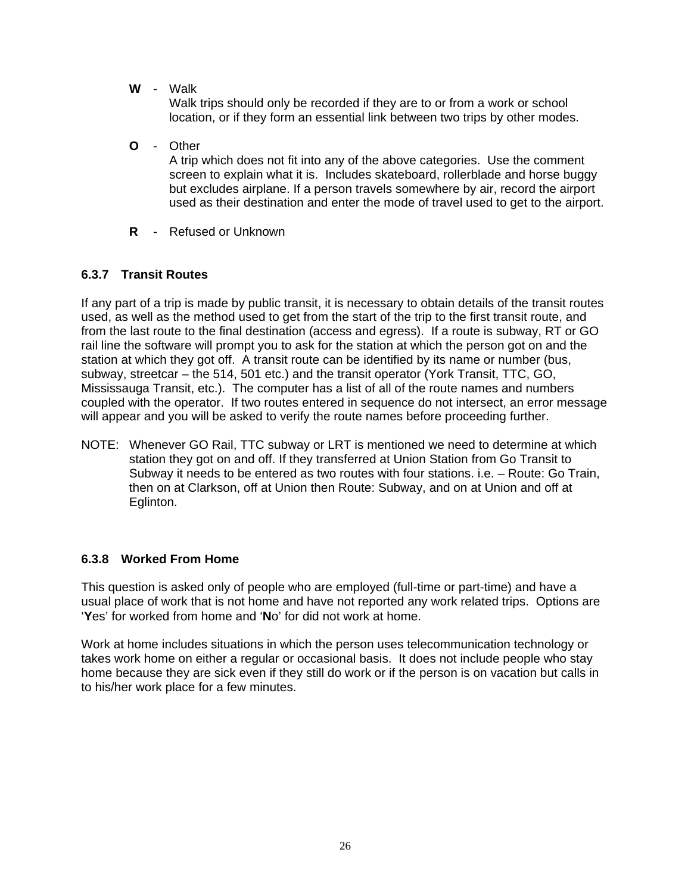**W** - Walk

Walk trips should only be recorded if they are to or from a work or school location, or if they form an essential link between two trips by other modes.

- **O**  Other A trip which does not fit into any of the above categories. Use the comment screen to explain what it is. Includes skateboard, rollerblade and horse buggy but excludes airplane. If a person travels somewhere by air, record the airport used as their destination and enter the mode of travel used to get to the airport.
- **R**  Refused or Unknown

#### **6.3.7 Transit Routes**

If any part of a trip is made by public transit, it is necessary to obtain details of the transit routes used, as well as the method used to get from the start of the trip to the first transit route, and from the last route to the final destination (access and egress). If a route is subway, RT or GO rail line the software will prompt you to ask for the station at which the person got on and the station at which they got off. A transit route can be identified by its name or number (bus, subway, streetcar – the 514, 501 etc.) and the transit operator (York Transit, TTC, GO, Mississauga Transit, etc.). The computer has a list of all of the route names and numbers coupled with the operator. If two routes entered in sequence do not intersect, an error message will appear and you will be asked to verify the route names before proceeding further.

NOTE: Whenever GO Rail, TTC subway or LRT is mentioned we need to determine at which station they got on and off. If they transferred at Union Station from Go Transit to Subway it needs to be entered as two routes with four stations. i.e. – Route: Go Train, then on at Clarkson, off at Union then Route: Subway, and on at Union and off at Eglinton.

#### **6.3.8 Worked From Home**

This question is asked only of people who are employed (full-time or part-time) and have a usual place of work that is not home and have not reported any work related trips. Options are '**Y**es' for worked from home and '**N**o' for did not work at home.

Work at home includes situations in which the person uses telecommunication technology or takes work home on either a regular or occasional basis. It does not include people who stay home because they are sick even if they still do work or if the person is on vacation but calls in to his/her work place for a few minutes.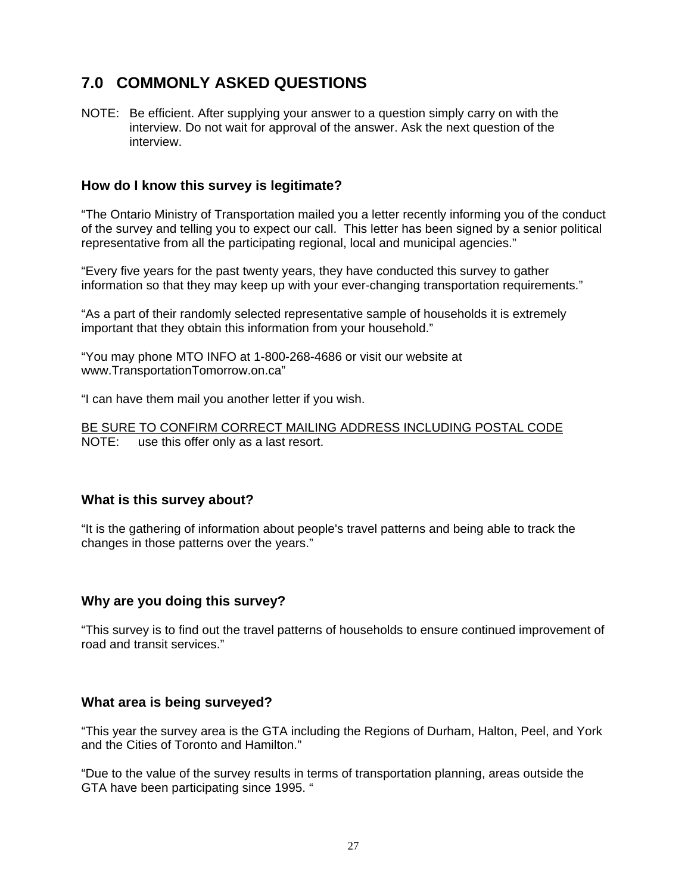## **7.0 COMMONLY ASKED QUESTIONS**

NOTE: Be efficient. After supplying your answer to a question simply carry on with the interview. Do not wait for approval of the answer. Ask the next question of the interview.

#### **How do I know this survey is legitimate?**

"The Ontario Ministry of Transportation mailed you a letter recently informing you of the conduct of the survey and telling you to expect our call. This letter has been signed by a senior political representative from all the participating regional, local and municipal agencies."

"Every five years for the past twenty years, they have conducted this survey to gather information so that they may keep up with your ever-changing transportation requirements."

"As a part of their randomly selected representative sample of households it is extremely important that they obtain this information from your household."

"You may phone MTO INFO at 1-800-268-4686 or visit our website at www.TransportationTomorrow.on.ca"

"I can have them mail you another letter if you wish.

BE SURE TO CONFIRM CORRECT MAILING ADDRESS INCLUDING POSTAL CODE NOTE: use this offer only as a last resort.

#### **What is this survey about?**

"It is the gathering of information about people's travel patterns and being able to track the changes in those patterns over the years."

#### **Why are you doing this survey?**

"This survey is to find out the travel patterns of households to ensure continued improvement of road and transit services."

#### **What area is being surveyed?**

"This year the survey area is the GTA including the Regions of Durham, Halton, Peel, and York and the Cities of Toronto and Hamilton."

"Due to the value of the survey results in terms of transportation planning, areas outside the GTA have been participating since 1995. "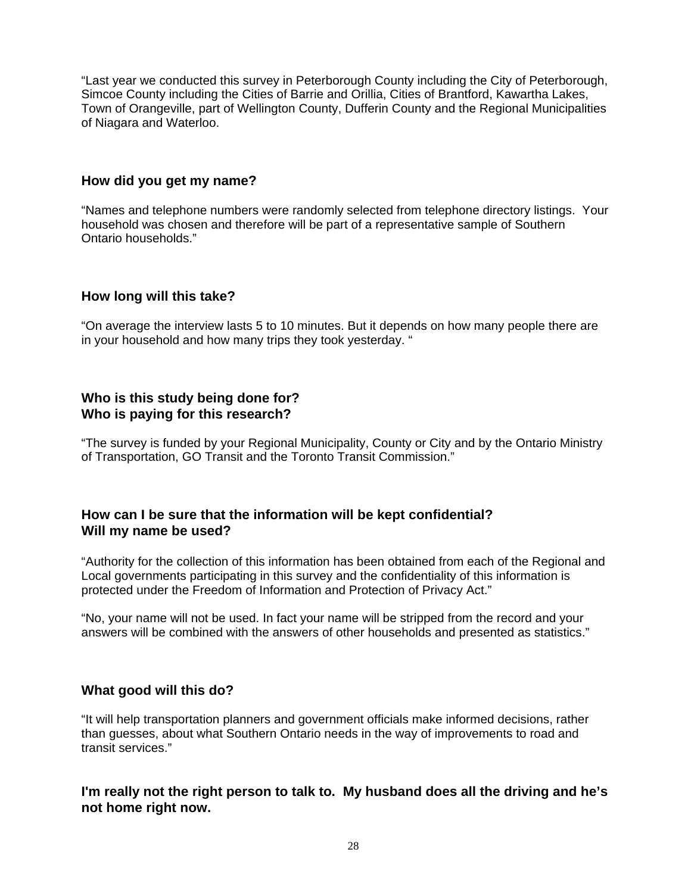"Last year we conducted this survey in Peterborough County including the City of Peterborough, Simcoe County including the Cities of Barrie and Orillia, Cities of Brantford, Kawartha Lakes, Town of Orangeville, part of Wellington County, Dufferin County and the Regional Municipalities of Niagara and Waterloo.

#### **How did you get my name?**

"Names and telephone numbers were randomly selected from telephone directory listings. Your household was chosen and therefore will be part of a representative sample of Southern Ontario households."

#### **How long will this take?**

"On average the interview lasts 5 to 10 minutes. But it depends on how many people there are in your household and how many trips they took yesterday. "

### **Who is this study being done for? Who is paying for this research?**

"The survey is funded by your Regional Municipality, County or City and by the Ontario Ministry of Transportation, GO Transit and the Toronto Transit Commission."

#### **How can I be sure that the information will be kept confidential? Will my name be used?**

"Authority for the collection of this information has been obtained from each of the Regional and Local governments participating in this survey and the confidentiality of this information is protected under the Freedom of Information and Protection of Privacy Act."

"No, your name will not be used. In fact your name will be stripped from the record and your answers will be combined with the answers of other households and presented as statistics."

### **What good will this do?**

"It will help transportation planners and government officials make informed decisions, rather than guesses, about what Southern Ontario needs in the way of improvements to road and transit services."

### **I'm really not the right person to talk to. My husband does all the driving and he's not home right now.**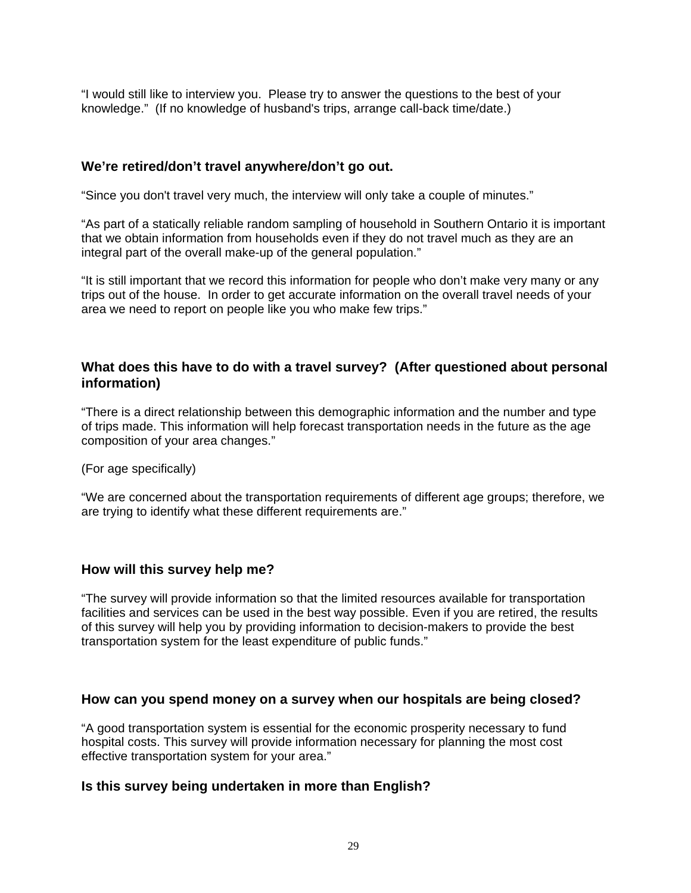"I would still like to interview you. Please try to answer the questions to the best of your knowledge." (If no knowledge of husband's trips, arrange call-back time/date.)

#### **We're retired/don't travel anywhere/don't go out.**

"Since you don't travel very much, the interview will only take a couple of minutes."

"As part of a statically reliable random sampling of household in Southern Ontario it is important that we obtain information from households even if they do not travel much as they are an integral part of the overall make-up of the general population."

"It is still important that we record this information for people who don't make very many or any trips out of the house. In order to get accurate information on the overall travel needs of your area we need to report on people like you who make few trips."

### **What does this have to do with a travel survey? (After questioned about personal information)**

"There is a direct relationship between this demographic information and the number and type of trips made. This information will help forecast transportation needs in the future as the age composition of your area changes."

(For age specifically)

"We are concerned about the transportation requirements of different age groups; therefore, we are trying to identify what these different requirements are."

#### **How will this survey help me?**

"The survey will provide information so that the limited resources available for transportation facilities and services can be used in the best way possible. Even if you are retired, the results of this survey will help you by providing information to decision-makers to provide the best transportation system for the least expenditure of public funds."

#### **How can you spend money on a survey when our hospitals are being closed?**

"A good transportation system is essential for the economic prosperity necessary to fund hospital costs. This survey will provide information necessary for planning the most cost effective transportation system for your area."

#### **Is this survey being undertaken in more than English?**